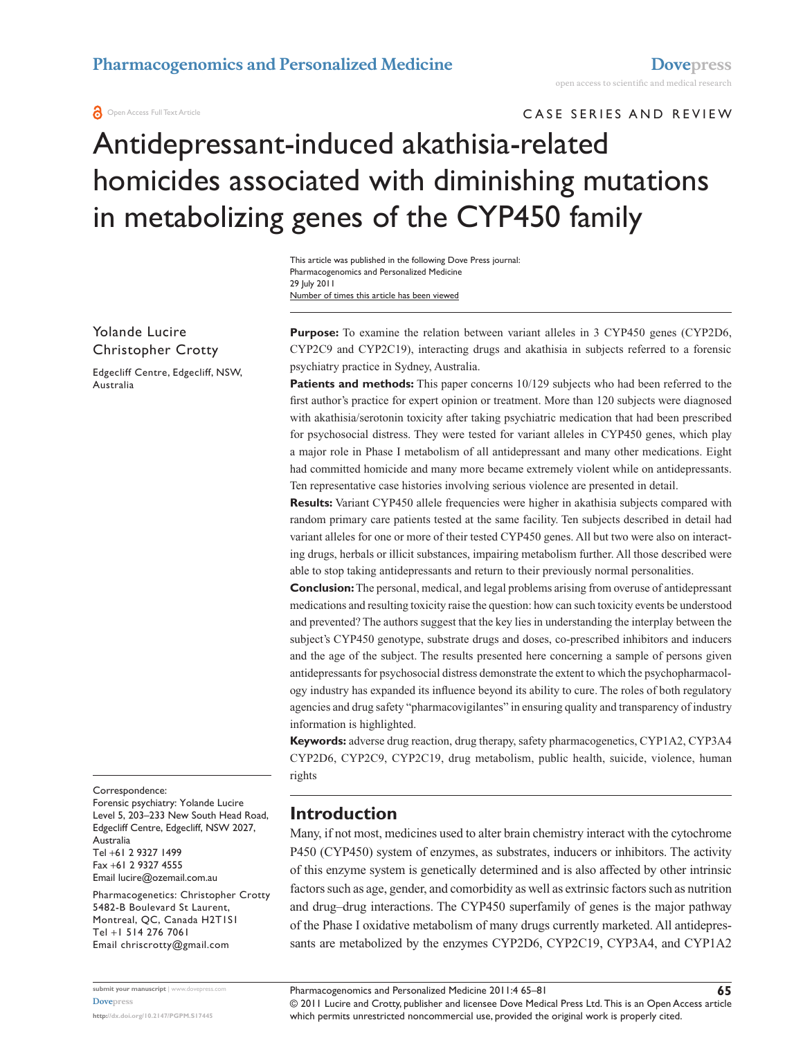**a** Open Access Full Text Article

CASE SERIES AND REVIEW

# Antidepressant-induced akathisia-related homicides associated with diminishing mutations in metabolizing genes of the CYP450 family

Number of times this article has been viewed This article was published in the following Dove Press journal: Pharmacogenomics and Personalized Medicine 29 July 2011

Yolande Lucire Christopher Crotty

Edgecliff Centre, Edgecliff, NSW, Australia

Purpose: To examine the relation between variant alleles in 3 CYP450 genes (CYP2D6, CYP2C9 and CYP2C19), interacting drugs and akathisia in subjects referred to a forensic psychiatry practice in Sydney, Australia.

**Patients and methods:** This paper concerns 10/129 subjects who had been referred to the first author's practice for expert opinion or treatment. More than 120 subjects were diagnosed with akathisia/serotonin toxicity after taking psychiatric medication that had been prescribed for psychosocial distress. They were tested for variant alleles in CYP450 genes, which play a major role in Phase I metabolism of all antidepressant and many other medications. Eight had committed homicide and many more became extremely violent while on antidepressants. Ten representative case histories involving serious violence are presented in detail.

**Results:** Variant CYP450 allele frequencies were higher in akathisia subjects compared with random primary care patients tested at the same facility. Ten subjects described in detail had variant alleles for one or more of their tested CYP450 genes. All but two were also on interacting drugs, herbals or illicit substances, impairing metabolism further. All those described were able to stop taking antidepressants and return to their previously normal personalities.

**Conclusion:** The personal, medical, and legal problems arising from overuse of antidepressant medications and resulting toxicity raise the question: how can such toxicity events be understood and prevented? The authors suggest that the key lies in understanding the interplay between the subject's CYP450 genotype, substrate drugs and doses, co-prescribed inhibitors and inducers and the age of the subject. The results presented here concerning a sample of persons given antidepressants for psychosocial distress demonstrate the extent to which the psychopharmacology industry has expanded its influence beyond its ability to cure. The roles of both regulatory agencies and drug safety "pharmacovigilantes" in ensuring quality and transparency of industry information is highlighted.

**Keywords:** adverse drug reaction, drug therapy, safety pharmacogenetics, CYP1A2, CYP3A4 CYP2D6, CYP2C9, CYP2C19, drug metabolism, public health, suicide, violence, human rights

Correspondence:

Forensic psychiatry: Yolande Lucire Level 5, 203–233 New South Head Road, Edgecliff Centre, Edgecliff, NSW 2027, Australia Tel +61 2 9327 1499 Fax +61 2 9327 4555 Email [lucire@ozemail.com.au](mailto:lucire@ozemail.com.au)

Pharmacogenetics: Christopher Crotty 5482-B Boulevard St Laurent, Montreal, QC, Canada H2T1S1 Tel +1 514 276 7061 Email [chriscrotty@gmail.com](mailto:chriscrotty@gmail.com)

**Introduction**

Many, if not most, medicines used to alter brain chemistry interact with the cytochrome P450 (CYP450) system of enzymes, as substrates, inducers or inhibitors. The activity of this enzyme system is genetically determined and is also affected by other intrinsic factors such as age, gender, and comorbidity as well as extrinsic factors such as nutrition and drug–drug interactions. The CYP450 superfamily of genes is the major pathway of the Phase I oxidative metabolism of many drugs currently marketed. All antidepressants are metabolized by the enzymes CYP2D6, CYP2C19, CYP3A4, and CYP1A2

© 2011 Lucire and Crotty, publisher and licensee Dove Medical Press Ltd. This is an Open Access article which permits unrestricted noncommercial use, provided the original work is properly cited.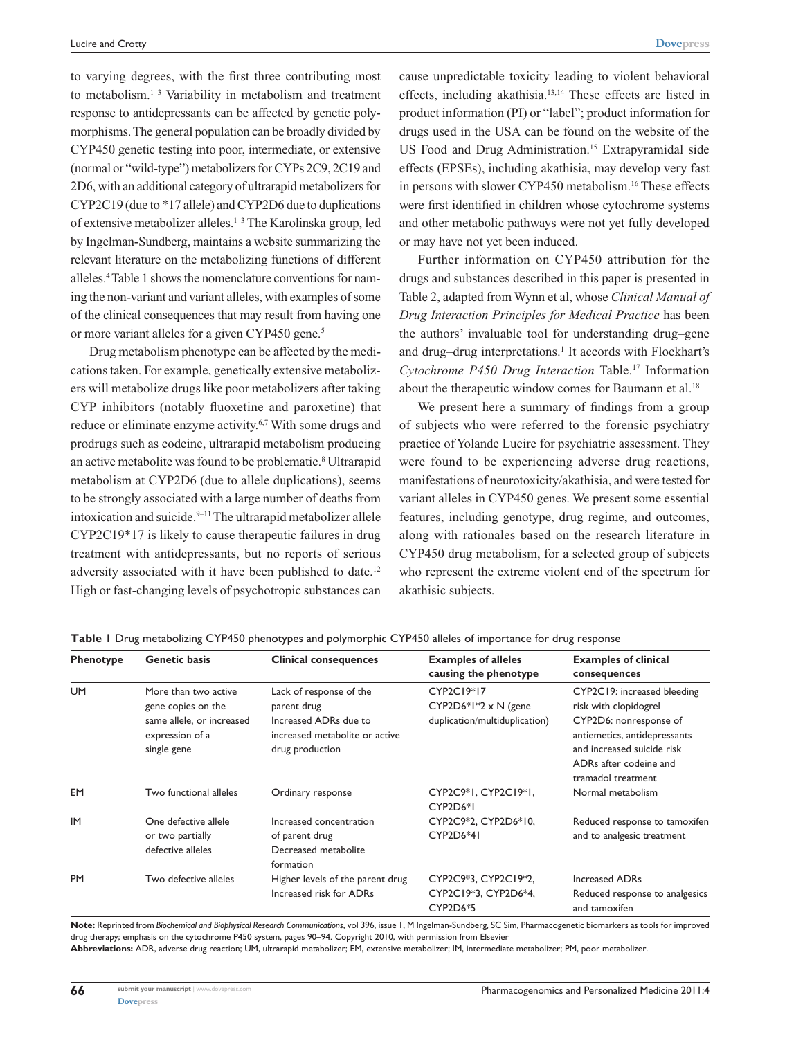to varying degrees, with the first three contributing most to metabolism.1–3 Variability in metabolism and treatment response to antidepressants can be affected by genetic polymorphisms. The general population can be broadly divided by CYP450 genetic testing into poor, intermediate, or extensive (normal or "wild-type") metabolizers for CYPs 2C9, 2C19 and 2D6, with an additional category of ultrarapid metabolizers for CYP2C19 (due to \*17 allele) and CYP2D6 due to duplications of extensive metabolizer alleles.1–3 The Karolinska group, led by Ingelman-Sundberg, maintains a website summarizing the relevant literature on the metabolizing functions of different alleles.4Table 1 shows the nomenclature conventions for naming the non-variant and variant alleles, with examples of some of the clinical consequences that may result from having one or more variant alleles for a given CYP450 gene.<sup>5</sup>

Drug metabolism phenotype can be affected by the medications taken. For example, genetically extensive metabolizers will metabolize drugs like poor metabolizers after taking CYP inhibitors (notably fluoxetine and paroxetine) that reduce or eliminate enzyme activity.6,7 With some drugs and prodrugs such as codeine, ultrarapid metabolism producing an active metabolite was found to be problematic.<sup>8</sup> Ultrarapid metabolism at CYP2D6 (due to allele duplications), seems to be strongly associated with a large number of deaths from intoxication and suicide.<sup>9-11</sup> The ultrarapid metabolizer allele CYP2C19\*17 is likely to cause therapeutic failures in drug treatment with antidepressants, but no reports of serious adversity associated with it have been published to date.<sup>12</sup> High or fast-changing levels of psychotropic substances can

cause unpredictable toxicity leading to violent behavioral effects, including akathisia.13,14 These effects are listed in product information (PI) or "label"; product information for drugs used in the USA can be found on the website of the US Food and Drug Administration.15 Extrapyramidal side effects (EPSEs), including akathisia, may develop very fast in persons with slower CYP450 metabolism.<sup>16</sup> These effects were first identified in children whose cytochrome systems and other metabolic pathways were not yet fully developed or may have not yet been induced.

Further information on CYP450 attribution for the drugs and substances described in this paper is presented in Table 2, adapted from Wynn et al, whose *Clinical Manual of Drug Interaction Principles for Medical Practice* has been the authors' invaluable tool for understanding drug–gene and drug-drug interpretations.<sup>1</sup> It accords with Flockhart's *Cytochrome P450 Drug Interaction* Table. 17 Information about the therapeutic window comes for Baumann et al.<sup>18</sup>

We present here a summary of findings from a group of subjects who were referred to the forensic psychiatry practice of Yolande Lucire for psychiatric assessment. They were found to be experiencing adverse drug reactions, manifestations of neurotoxicity/akathisia, and were tested for variant alleles in CYP450 genes. We present some essential features, including genotype, drug regime, and outcomes, along with rationales based on the research literature in CYP450 drug metabolism, for a selected group of subjects who represent the extreme violent end of the spectrum for akathisic subjects.

| <b>Phenotype</b> | <b>Genetic basis</b>      | <b>Clinical consequences</b>     | <b>Examples of alleles</b>    | <b>Examples of clinical</b>    |  |
|------------------|---------------------------|----------------------------------|-------------------------------|--------------------------------|--|
|                  |                           |                                  | causing the phenotype         | consequences                   |  |
| <b>UM</b>        | More than two active      | Lack of response of the          | CYP2C19*17                    | CYP2C19: increased bleeding    |  |
|                  | gene copies on the        | parent drug                      | CYP2D6*1*2 x N (gene          | risk with clopidogrel          |  |
|                  | same allele, or increased | Increased ADRs due to            | duplication/multiduplication) | CYP2D6: nonresponse of         |  |
|                  | expression of a           | increased metabolite or active   |                               | antiemetics, antidepressants   |  |
|                  | single gene               | drug production                  |                               | and increased suicide risk     |  |
|                  |                           |                                  |                               | ADRs after codeine and         |  |
|                  |                           |                                  |                               | tramadol treatment             |  |
| EM               | Two functional alleles    | Ordinary response                | CYP2C9*1, CYP2C19*1,          | Normal metabolism              |  |
|                  |                           |                                  | CYP2D6*I                      |                                |  |
| IM               | One defective allele      | Increased concentration          | CYP2C9*2, CYP2D6*10,          | Reduced response to tamoxifen  |  |
|                  | or two partially          | of parent drug                   | CYP2D6*41                     | and to analgesic treatment     |  |
|                  | defective alleles         | Decreased metabolite             |                               |                                |  |
|                  |                           | formation                        |                               |                                |  |
| <b>PM</b>        | Two defective alleles     | Higher levels of the parent drug | CYP2C9*3, CYP2C19*2,          | Increased ADRs                 |  |
|                  |                           | Increased risk for ADRs          | CYP2C19*3, CYP2D6*4,          | Reduced response to analgesics |  |
|                  |                           |                                  | CYP2D6*5                      | and tamoxifen                  |  |

**Table 1** Drug metabolizing CYP450 phenotypes and polymorphic CYP450 alleles of importance for drug response

**Note:** Reprinted from *Biochemical and Biophysical Research Communications*, vol 396, issue 1, M Ingelman-Sundberg, SC Sim, Pharmacogenetic biomarkers as tools for improved drug therapy; emphasis on the cytochrome P450 system, pages 90–94. Copyright 2010, with permission from Elsevier

**Abbreviations:** ADR, adverse drug reaction; UM, ultrarapid metabolizer; EM, extensive metabolizer; IM, intermediate metabolizer; PM, poor metabolizer.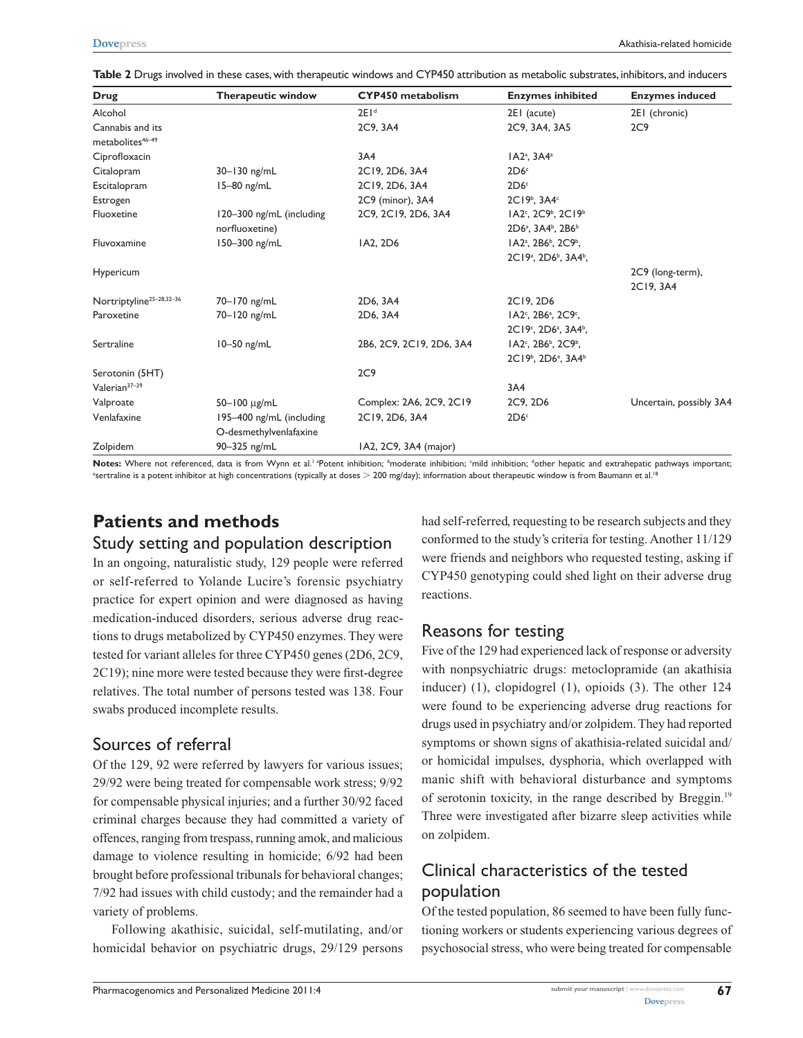| Table 2 Drugs involved in these cases, with therapeutic windows and CYP450 attribution as metabolic substrates, inhibitors, and inducers |
|------------------------------------------------------------------------------------------------------------------------------------------|
|------------------------------------------------------------------------------------------------------------------------------------------|

| <b>Drug</b>                                      | <b>Therapeutic window</b>                          | <b>CYP450</b> metabolism | <b>Enzymes inhibited</b>                                  | <b>Enzymes induced</b>        |
|--------------------------------------------------|----------------------------------------------------|--------------------------|-----------------------------------------------------------|-------------------------------|
| Alcohol                                          |                                                    | 2E1 <sup>d</sup>         | 2EI (acute)                                               | 2EI (chronic)                 |
| Cannabis and its<br>metabolites <sup>46-49</sup> |                                                    | 2C9, 3A4                 | 2C9, 3A4, 3A5                                             | 2C9                           |
| Ciprofloxacin                                    |                                                    | 3A4                      | IA2 <sup>a</sup> , 3A4 <sup>a</sup>                       |                               |
| Citalopram                                       | 30-130 ng/mL                                       | 2C19, 2D6, 3A4           | 2D6 <sup>c</sup>                                          |                               |
| Escitalopram                                     | 15-80 ng/mL                                        | 2C19, 2D6, 3A4           | 2D6 <sup>c</sup>                                          |                               |
| Estrogen                                         |                                                    | 2C9 (minor), 3A4         | 2C19 <sup>b</sup> , 3A4 <sup>c</sup>                      |                               |
| Fluoxetine                                       | 120-300 ng/mL (including                           | 2C9, 2C19, 2D6, 3A4      | $IA2c$ , $2C9b$ , $2C19b$                                 |                               |
|                                                  | norfluoxetine)                                     |                          | 2D6 <sup>a</sup> , 3A4 <sup>b</sup> , 2B6 <sup>b</sup>    |                               |
| Fluvoxamine                                      | 150-300 ng/mL                                      | IA2, 2D6                 | IA2 <sup>a</sup> , 2B6 <sup>b</sup> , 2C9 <sup>b</sup> ,  |                               |
|                                                  |                                                    |                          | 2C19 <sup>a</sup> , 2D6 <sup>b</sup> , 3A4 <sup>b</sup> , |                               |
| Hypericum                                        |                                                    |                          |                                                           | 2C9 (long-term),<br>2C19, 3A4 |
| Nortriptyline <sup>25-28,32-36</sup>             | 70-170 ng/mL                                       | 2D6, 3A4                 | 2C19, 2D6                                                 |                               |
| Paroxetine                                       | 70-120 ng/mL                                       | 2D6, 3A4                 | IA2 <sup>c</sup> , 2B6 <sup>a</sup> , 2C9 <sup>c</sup> ,  |                               |
|                                                  |                                                    |                          | 2C19°, 2D6 <sup>a</sup> , 3A4 <sup>b</sup> ,              |                               |
| Sertraline                                       | $10-50$ ng/mL                                      | 2B6, 2C9, 2C19, 2D6, 3A4 | IA2 <sup>c</sup> , 2B6 <sup>b</sup> , 2C9 <sup>b</sup> ,  |                               |
|                                                  |                                                    |                          | 2C19 <sup>b</sup> , 2D6 <sup>e</sup> , 3A4 <sup>b</sup>   |                               |
| Serotonin (5HT)                                  |                                                    | 2C9                      |                                                           |                               |
| Valerian <sup>37-39</sup>                        |                                                    |                          | 3A4                                                       |                               |
| Valproate                                        | 50-100 μg/mL                                       | Complex: 2A6, 2C9, 2C19  | 2C9, 2D6                                                  | Uncertain, possibly 3A4       |
| Venlafaxine                                      | 195-400 ng/mL (including<br>O-desmethylvenlafaxine | 2C19, 2D6, 3A4           | 2D6 <sup>c</sup>                                          |                               |
| Zolpidem                                         | 90-325 ng/mL                                       | 1A2, 2C9, 3A4 (major)    |                                                           |                               |

Notes: Where not referenced, data is from Wynn et al.<sup>1 a</sup>Potent inhibition; <sup>b</sup>moderate inhibition; finild inhibition; <sup>d</sup>other hepatic and extrahepatic pathways important;<br>featraling is a potent inhibiter at high concent <sup>e</sup>sertraline is a potent inhibitor at high concentrations (typically at doses > 200 mg/day); information about therapeutic window is from Baumann et al.<sup>18</sup>

## **Patients and methods**

### Study setting and population description

In an ongoing, naturalistic study, 129 people were referred or self-referred to Yolande Lucire's forensic psychiatry practice for expert opinion and were diagnosed as having medication-induced disorders, serious adverse drug reactions to drugs metabolized by CYP450 enzymes. They were tested for variant alleles for three CYP450 genes (2D6, 2C9, 2C19); nine more were tested because they were first-degree relatives. The total number of persons tested was 138. Four swabs produced incomplete results.

### Sources of referral

Of the 129, 92 were referred by lawyers for various issues; 29/92 were being treated for compensable work stress; 9/92 for compensable physical injuries; and a further 30/92 faced criminal charges because they had committed a variety of offences, ranging from trespass, running amok, and malicious damage to violence resulting in homicide; 6/92 had been brought before professional tribunals for behavioral changes; 7/92 had issues with child custody; and the remainder had a variety of problems.

Following akathisic, suicidal, self-mutilating, and/or homicidal behavior on psychiatric drugs, 29/129 persons

had self-referred, requesting to be research subjects and they conformed to the study's criteria for testing. Another 11/129 were friends and neighbors who requested testing, asking if CYP450 genotyping could shed light on their adverse drug reactions.

### Reasons for testing

Five of the 129 had experienced lack of response or adversity with nonpsychiatric drugs: metoclopramide (an akathisia inducer) (1), clopidogrel (1), opioids (3). The other 124 were found to be experiencing adverse drug reactions for drugs used in psychiatry and/or zolpidem. They had reported symptoms or shown signs of akathisia-related suicidal and/ or homicidal impulses, dysphoria, which overlapped with manic shift with behavioral disturbance and symptoms of serotonin toxicity, in the range described by Breggin.19 Three were investigated after bizarre sleep activities while on zolpidem.

### Clinical characteristics of the tested population

Of the tested population, 86 seemed to have been fully functioning workers or students experiencing various degrees of psychosocial stress, who were being treated for compensable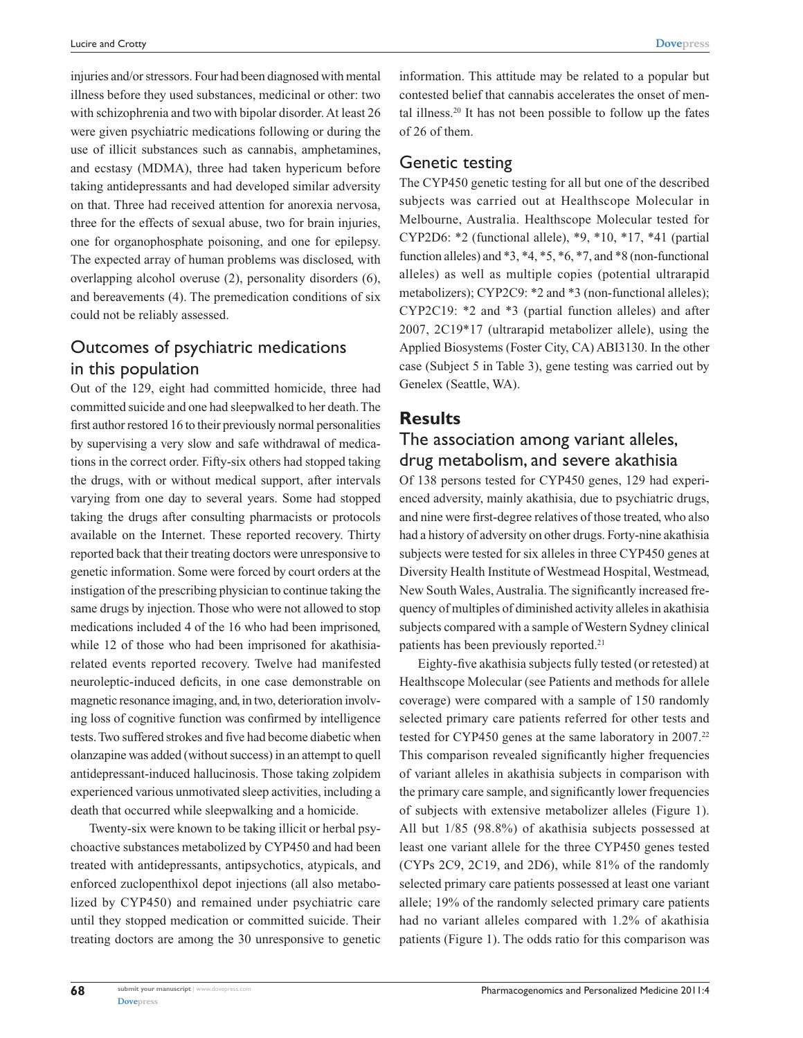injuries and/or stressors. Four had been diagnosed with mental illness before they used substances, medicinal or other: two with schizophrenia and two with bipolar disorder. At least 26 were given psychiatric medications following or during the use of illicit substances such as cannabis, amphetamines, and ecstasy (MDMA), three had taken hypericum before taking antidepressants and had developed similar adversity on that. Three had received attention for anorexia nervosa, three for the effects of sexual abuse, two for brain injuries, one for organophosphate poisoning, and one for epilepsy. The expected array of human problems was disclosed, with overlapping alcohol overuse (2), personality disorders (6), and bereavements (4). The premedication conditions of six could not be reliably assessed.

### Outcomes of psychiatric medications in this population

Out of the 129, eight had committed homicide, three had committed suicide and one had sleepwalked to her death. The first author restored 16 to their previously normal personalities by supervising a very slow and safe withdrawal of medications in the correct order. Fifty-six others had stopped taking the drugs, with or without medical support, after intervals varying from one day to several years. Some had stopped taking the drugs after consulting pharmacists or protocols available on the Internet. These reported recovery. Thirty reported back that their treating doctors were unresponsive to genetic information. Some were forced by court orders at the instigation of the prescribing physician to continue taking the same drugs by injection. Those who were not allowed to stop medications included 4 of the 16 who had been imprisoned, while 12 of those who had been imprisoned for akathisiarelated events reported recovery. Twelve had manifested neuroleptic-induced deficits, in one case demonstrable on magnetic resonance imaging, and, in two, deterioration involving loss of cognitive function was confirmed by intelligence tests. Two suffered strokes and five had become diabetic when olanzapine was added (without success) in an attempt to quell antidepressant-induced hallucinosis. Those taking zolpidem experienced various unmotivated sleep activities, including a death that occurred while sleepwalking and a homicide.

Twenty-six were known to be taking illicit or herbal psychoactive substances metabolized by CYP450 and had been treated with antidepressants, antipsychotics, atypicals, and enforced zuclopenthixol depot injections (all also metabolized by CYP450) and remained under psychiatric care until they stopped medication or committed suicide. Their treating doctors are among the 30 unresponsive to genetic information. This attitude may be related to a popular but contested belief that cannabis accelerates the onset of mental illness.20 It has not been possible to follow up the fates of 26 of them.

#### Genetic testing

The CYP450 genetic testing for all but one of the described subjects was carried out at Healthscope Molecular in Melbourne, Australia. Healthscope Molecular tested for CYP2D6: \*2 (functional allele), \*9, \*10, \*17, \*41 (partial function alleles) and  $*3, *4, *5, *6, *7,$  and  $*8$  (non-functional alleles) as well as multiple copies (potential ultrarapid metabolizers); CYP2C9: \*2 and \*3 (non-functional alleles); CYP2C19: \*2 and \*3 (partial function alleles) and after 2007, 2C19\*17 (ultrarapid metabolizer allele), using the Applied Biosystems (Foster City, CA) ABI3130. In the other case (Subject 5 in Table 3), gene testing was carried out by Genelex (Seattle, WA).

### **Results**

### The association among variant alleles, drug metabolism, and severe akathisia

Of 138 persons tested for CYP450 genes, 129 had experienced adversity, mainly akathisia, due to psychiatric drugs, and nine were first-degree relatives of those treated, who also had a history of adversity on other drugs. Forty-nine akathisia subjects were tested for six alleles in three CYP450 genes at Diversity Health Institute of Westmead Hospital, Westmead, New South Wales, Australia. The significantly increased frequency of multiples of diminished activity alleles in akathisia subjects compared with a sample of Western Sydney clinical patients has been previously reported.<sup>21</sup>

Eighty-five akathisia subjects fully tested (or retested) at Healthscope Molecular (see Patients and methods for allele coverage) were compared with a sample of 150 randomly selected primary care patients referred for other tests and tested for CYP450 genes at the same laboratory in 2007.<sup>22</sup> This comparison revealed significantly higher frequencies of variant alleles in akathisia subjects in comparison with the primary care sample, and significantly lower frequencies of subjects with extensive metabolizer alleles (Figure 1). All but 1/85 (98.8%) of akathisia subjects possessed at least one variant allele for the three CYP450 genes tested (CYPs 2C9, 2C19, and 2D6), while 81% of the randomly selected primary care patients possessed at least one variant allele; 19% of the randomly selected primary care patients had no variant alleles compared with 1.2% of akathisia patients (Figure 1). The odds ratio for this comparison was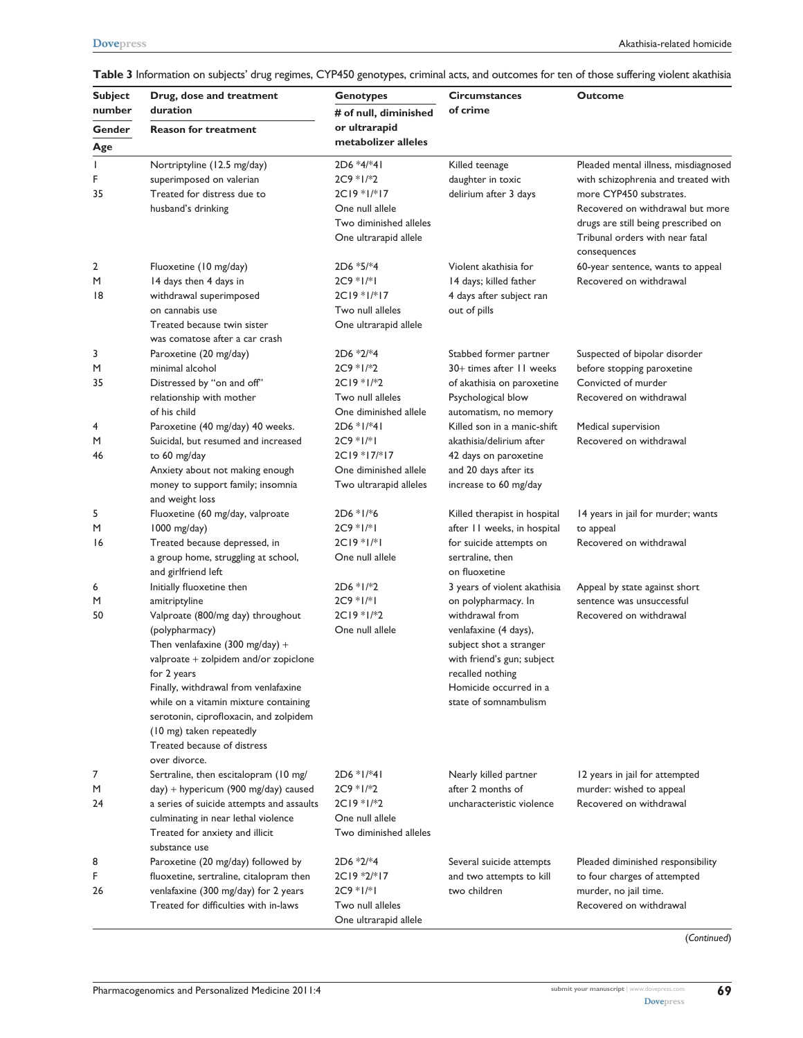| <b>Subject</b><br>number | Drug, dose and treatment<br>duration                                                                                                                                                                                                                                                                                                                                                                | <b>Genotypes</b><br># of null, diminished                                                                            | <b>Circumstances</b><br>of crime                                                                                                                                                                                                | <b>Outcome</b>                                                                                                                                                                                                                       |
|--------------------------|-----------------------------------------------------------------------------------------------------------------------------------------------------------------------------------------------------------------------------------------------------------------------------------------------------------------------------------------------------------------------------------------------------|----------------------------------------------------------------------------------------------------------------------|---------------------------------------------------------------------------------------------------------------------------------------------------------------------------------------------------------------------------------|--------------------------------------------------------------------------------------------------------------------------------------------------------------------------------------------------------------------------------------|
| Gender                   | <b>Reason for treatment</b>                                                                                                                                                                                                                                                                                                                                                                         | or ultrarapid                                                                                                        |                                                                                                                                                                                                                                 |                                                                                                                                                                                                                                      |
| Age                      |                                                                                                                                                                                                                                                                                                                                                                                                     | metabolizer alleles                                                                                                  |                                                                                                                                                                                                                                 |                                                                                                                                                                                                                                      |
| 1<br>F<br>35             | Nortriptyline (12.5 mg/day)<br>superimposed on valerian<br>Treated for distress due to<br>husband's drinking                                                                                                                                                                                                                                                                                        | $2D6 *4*41$<br>$2C9 * 1/*2$<br>$2C19 * 1/* 17$<br>One null allele<br>Two diminished alleles<br>One ultrarapid allele | Killed teenage<br>daughter in toxic<br>delirium after 3 days                                                                                                                                                                    | Pleaded mental illness, misdiagnosed<br>with schizophrenia and treated with<br>more CYP450 substrates.<br>Recovered on withdrawal but more<br>drugs are still being prescribed on<br>Tribunal orders with near fatal<br>consequences |
| 2<br>M<br>18             | Fluoxetine (10 mg/day)<br>14 days then 4 days in<br>withdrawal superimposed<br>on cannabis use<br>Treated because twin sister<br>was comatose after a car crash                                                                                                                                                                                                                                     | $2D6 * 5*4$<br>$2C9 * 1/* 1$<br>2C19 *1/*17<br>Two null alleles<br>One ultrarapid allele                             | Violent akathisia for<br>14 days; killed father<br>4 days after subject ran<br>out of pills                                                                                                                                     | 60-year sentence, wants to appeal<br>Recovered on withdrawal                                                                                                                                                                         |
| 3<br>M<br>35             | Paroxetine (20 mg/day)<br>minimal alcohol<br>Distressed by "on and off"<br>relationship with mother<br>of his child                                                                                                                                                                                                                                                                                 | $2D6 *2/*4$<br>$2C9 * 1/*2$<br>$2C19 * 1/*2$<br>Two null alleles<br>One diminished allele                            | Stabbed former partner<br>30+ times after 11 weeks<br>of akathisia on paroxetine<br>Psychological blow<br>automatism, no memory                                                                                                 | Suspected of bipolar disorder<br>before stopping paroxetine<br>Convicted of murder<br>Recovered on withdrawal                                                                                                                        |
| 4<br>M<br>46             | Paroxetine (40 mg/day) 40 weeks.<br>Suicidal, but resumed and increased<br>to 60 mg/day<br>Anxiety about not making enough<br>money to support family; insomnia<br>and weight loss                                                                                                                                                                                                                  | 2D6 *1/*41<br>$2C9 * 1/* 1$<br>2C19 *17/*17<br>One diminished allele<br>Two ultrarapid alleles                       | Killed son in a manic-shift<br>akathisia/delirium after<br>42 days on paroxetine<br>and 20 days after its<br>increase to 60 mg/day                                                                                              | Medical supervision<br>Recovered on withdrawal                                                                                                                                                                                       |
| 5<br>M<br>16             | Fluoxetine (60 mg/day, valproate<br>1000 mg/day)<br>Treated because depressed, in<br>a group home, struggling at school,<br>and girlfriend left                                                                                                                                                                                                                                                     | $2D6 * 1/*6$<br>$2C9 * 1/* 1$<br>$2C19 * 1/* 1$<br>One null allele                                                   | Killed therapist in hospital<br>after 11 weeks, in hospital<br>for suicide attempts on<br>sertraline, then<br>on fluoxetine                                                                                                     | 14 years in jail for murder; wants<br>to appeal<br>Recovered on withdrawal                                                                                                                                                           |
| 6<br>M<br>50             | Initially fluoxetine then<br>amitriptyline<br>Valproate (800/mg day) throughout<br>(polypharmacy)<br>Then venlafaxine (300 mg/day) +<br>valproate + zolpidem and/or zopiclone<br>for 2 years<br>Finally, withdrawal from venlafaxine<br>while on a vitamin mixture containing<br>serotonin, ciprofloxacin, and zolpidem<br>(10 mg) taken repeatedly<br>Treated because of distress<br>over divorce. | $2D6 * 1/*2$<br>$2C9 * 1/* 1$<br>$2C19 * 1/*2$<br>One null allele                                                    | 3 years of violent akathisia<br>on polypharmacy. In<br>withdrawal from<br>venlafaxine (4 days),<br>subject shot a stranger<br>with friend's gun; subject<br>recalled nothing<br>Homicide occurred in a<br>state of somnambulism | Appeal by state against short<br>sentence was unsuccessful<br>Recovered on withdrawal                                                                                                                                                |
| 7<br>M<br>24             | Sertraline, then escitalopram (10 mg/<br>day) + hypericum (900 mg/day) caused<br>a series of suicide attempts and assaults<br>culminating in near lethal violence<br>Treated for anxiety and illicit<br>substance use                                                                                                                                                                               | $2D6 * 1/*41$<br>$2C9 * 1/*2$<br>$2C19 * 1/*2$<br>One null allele<br>Two diminished alleles                          | Nearly killed partner<br>after 2 months of<br>uncharacteristic violence                                                                                                                                                         | 12 years in jail for attempted<br>murder: wished to appeal<br>Recovered on withdrawal                                                                                                                                                |
| 8<br>F<br>26             | Paroxetine (20 mg/day) followed by<br>fluoxetine, sertraline, citalopram then<br>venlafaxine (300 mg/day) for 2 years<br>Treated for difficulties with in-laws                                                                                                                                                                                                                                      | $2D6 *2/*4$<br>$2C19 * 2/* 17$<br>$2C9 * 1/* 1$<br>Two null alleles<br>One ultrarapid allele                         | Several suicide attempts<br>and two attempts to kill<br>two children                                                                                                                                                            | Pleaded diminished responsibility<br>to four charges of attempted<br>murder, no jail time.<br>Recovered on withdrawal                                                                                                                |

**Table 3** Information on subjects' drug regimes, CYP450 genotypes, criminal acts, and outcomes for ten of those suffering violent akathisia

(*Continued*)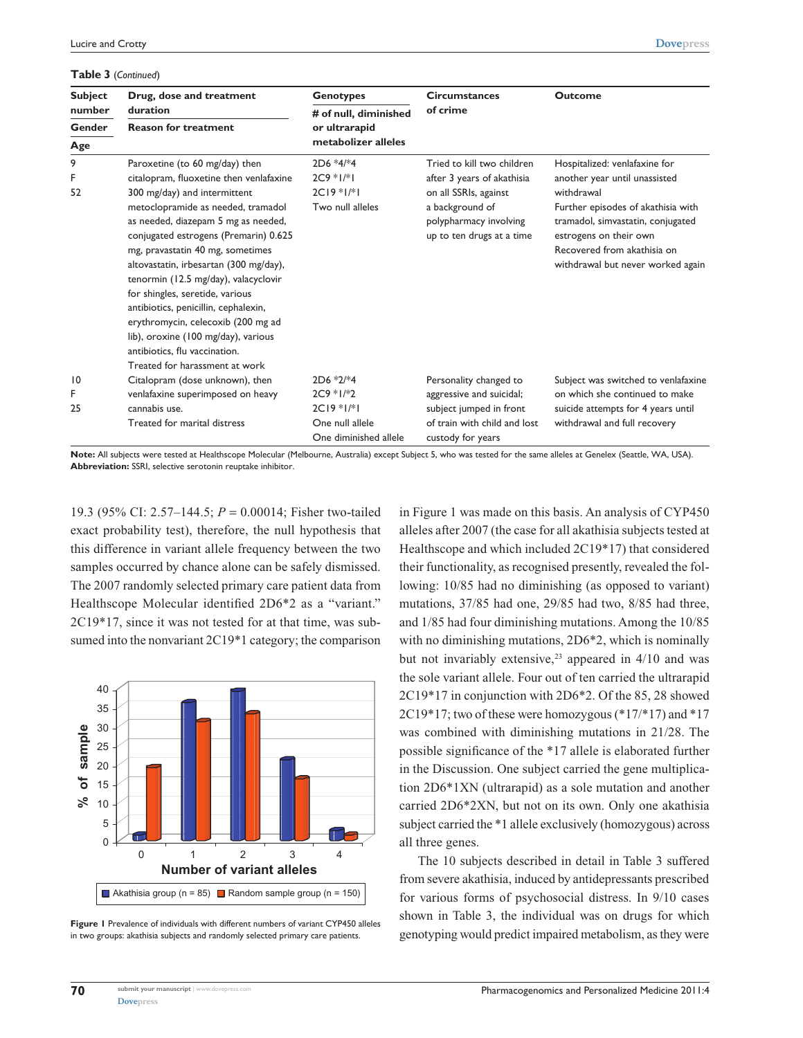#### **Table 3** (*Continued*)

mg, pravastatin 40 mg, sometimes altovastatin, irbesartan (300 mg/day),

| <b>Lable 3</b> (Continued) |                                         |                       |                            |                                    |  |
|----------------------------|-----------------------------------------|-----------------------|----------------------------|------------------------------------|--|
| <b>Subject</b>             | Drug, dose and treatment                | <b>Genotypes</b>      | <b>Circumstances</b>       | <b>Outcome</b>                     |  |
| number                     | duration                                | # of null, diminished | of crime                   |                                    |  |
| <b>Gender</b>              | <b>Reason for treatment</b>             | or ultrarapid         |                            |                                    |  |
| Age                        |                                         | metabolizer alleles   |                            |                                    |  |
| 9                          | Paroxetine (to 60 mg/day) then          | $2D6 *4/*4$           | Tried to kill two children | Hospitalized: venlafaxine for      |  |
| F.                         | citalopram, fluoxetine then venlafaxine | $2C9 * 1/* 1$         | after 3 years of akathisia | another year until unassisted      |  |
| 52                         | 300 mg/day) and intermittent            | $2C19*1/*1$           | on all SSRIs, against      | withdrawal                         |  |
|                            | metoclopramide as needed, tramadol      | Two null alleles      | a background of            | Further episodes of akathisia with |  |
|                            | as needed, diazepam 5 mg as needed,     |                       | polypharmacy involving     | tramadol, simvastatin, conjugated  |  |
|                            | conjugated estrogens (Premarin) 0.625   |                       | up to ten drugs at a time  | estrogens on their own             |  |

**[Dovepress](www.dovepress.com)**

Recovered from akathisia on withdrawal but never worked again

|    | tenormin (12.5 mg/day), valacyclovir<br>for shingles, seretide, various<br>antibiotics, penicillin, cephalexin,<br>erythromycin, celecoxib (200 mg ad<br>lib), oroxine (100 mg/day), various |                       |                              |                                     |
|----|----------------------------------------------------------------------------------------------------------------------------------------------------------------------------------------------|-----------------------|------------------------------|-------------------------------------|
|    | antibiotics, flu vaccination.                                                                                                                                                                |                       |                              |                                     |
|    | Treated for harassment at work                                                                                                                                                               |                       |                              |                                     |
| 10 | Citalopram (dose unknown), then                                                                                                                                                              | $2D6 *2/*4$           | Personality changed to       | Subject was switched to venlafaxine |
| F. | venlafaxine superimposed on heavy                                                                                                                                                            | $2C9 * 1/*2$          | aggressive and suicidal;     | on which she continued to make      |
| 25 | cannabis use.                                                                                                                                                                                | $2C19 * 1/* 1$        | subject jumped in front      | suicide attempts for 4 years until  |
|    | Treated for marital distress                                                                                                                                                                 | One null allele       | of train with child and lost | withdrawal and full recovery        |
|    |                                                                                                                                                                                              | One diminished allele | custody for years            |                                     |

**Note:** All subjects were tested at Healthscope Molecular (Melbourne, Australia) except Subject 5, who was tested for the same alleles at Genelex (Seattle, WA, USA). **Abbreviation:** SSRI, selective serotonin reuptake inhibitor.

19.3 (95% CI: 2.57–144.5; *P* = 0.00014; Fisher two-tailed exact probability test), therefore, the null hypothesis that this difference in variant allele frequency between the two samples occurred by chance alone can be safely dismissed. The 2007 randomly selected primary care patient data from Healthscope Molecular identified 2D6\*2 as a "variant." 2C19\*17, since it was not tested for at that time, was subsumed into the nonvariant 2C19\*1 category; the comparison



**Figure 1** Prevalence of individuals with different numbers of variant CYP450 alleles in two groups: akathisia subjects and randomly selected primary care patients.

in Figure 1 was made on this basis. An analysis of CYP450 alleles after 2007 (the case for all akathisia subjects tested at Healthscope and which included 2C19\*17) that considered their functionality, as recognised presently, revealed the following: 10/85 had no diminishing (as opposed to variant) mutations, 37/85 had one, 29/85 had two, 8/85 had three, and 1/85 had four diminishing mutations. Among the 10/85 with no diminishing mutations, 2D6<sup>\*</sup>2, which is nominally but not invariably extensive,  $2<sup>3</sup>$  appeared in 4/10 and was the sole variant allele. Four out of ten carried the ultrarapid 2C19\*17 in conjunction with 2D6\*2. Of the 85, 28 showed 2C19\*17; two of these were homozygous (\*17/\*17) and \*17 was combined with diminishing mutations in 21/28. The possible significance of the \*17 allele is elaborated further in the Discussion. One subject carried the gene multiplication 2D6\*1XN (ultrarapid) as a sole mutation and another carried 2D6\*2XN, but not on its own. Only one akathisia subject carried the \*1 allele exclusively (homozygous) across all three genes.

The 10 subjects described in detail in Table 3 suffered from severe akathisia, induced by antidepressants prescribed for various forms of psychosocial distress. In 9/10 cases shown in Table 3, the individual was on drugs for which genotyping would predict impaired metabolism, as they were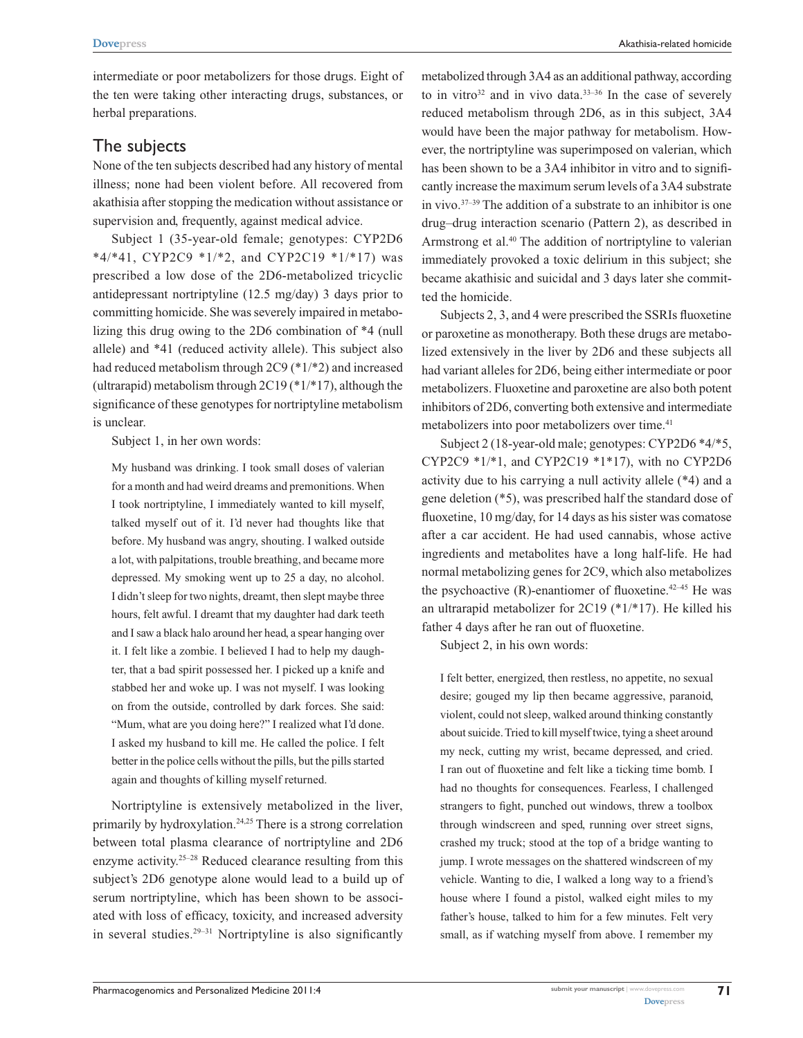intermediate or poor metabolizers for those drugs. Eight of the ten were taking other interacting drugs, substances, or herbal preparations.

### The subjects

None of the ten subjects described had any history of mental illness; none had been violent before. All recovered from akathisia after stopping the medication without assistance or supervision and, frequently, against medical advice.

Subject 1 (35-year-old female; genotypes: CYP2D6 \*4/\*41, CYP2C9 \*1/\*2, and CYP2C19 \*1/\*17) was prescribed a low dose of the 2D6-metabolized tricyclic antidepressant nortriptyline (12.5 mg/day) 3 days prior to committing homicide. She was severely impaired in metabolizing this drug owing to the 2D6 combination of \*4 (null allele) and \*41 (reduced activity allele). This subject also had reduced metabolism through 2C9 (\*1/\*2) and increased (ultrarapid) metabolism through 2C19 (\*1/\*17), although the significance of these genotypes for nortriptyline metabolism is unclear.

Subject 1, in her own words:

My husband was drinking. I took small doses of valerian for a month and had weird dreams and premonitions. When I took nortriptyline, I immediately wanted to kill myself, talked myself out of it. I'd never had thoughts like that before. My husband was angry, shouting. I walked outside a lot, with palpitations, trouble breathing, and became more depressed. My smoking went up to 25 a day, no alcohol. I didn't sleep for two nights, dreamt, then slept maybe three hours, felt awful. I dreamt that my daughter had dark teeth and I saw a black halo around her head, a spear hanging over it. I felt like a zombie. I believed I had to help my daughter, that a bad spirit possessed her. I picked up a knife and stabbed her and woke up. I was not myself. I was looking on from the outside, controlled by dark forces. She said: "Mum, what are you doing here?" I realized what I'd done. I asked my husband to kill me. He called the police. I felt better in the police cells without the pills, but the pills started again and thoughts of killing myself returned.

Nortriptyline is extensively metabolized in the liver, primarily by hydroxylation.<sup>24,25</sup> There is a strong correlation between total plasma clearance of nortriptyline and 2D6 enzyme activity.25–28 Reduced clearance resulting from this subject's 2D6 genotype alone would lead to a build up of serum nortriptyline, which has been shown to be associated with loss of efficacy, toxicity, and increased adversity in several studies.29–31 Nortriptyline is also significantly

metabolized through 3A4 as an additional pathway, according to in vitro $32$  and in vivo data. $33-36$  In the case of severely reduced metabolism through 2D6, as in this subject, 3A4 would have been the major pathway for metabolism. However, the nortriptyline was superimposed on valerian, which has been shown to be a 3A4 inhibitor in vitro and to significantly increase the maximum serum levels of a 3A4 substrate in vivo.37–39 The addition of a substrate to an inhibitor is one drug–drug interaction scenario (Pattern 2), as described in Armstrong et al.<sup>40</sup> The addition of nortriptyline to valerian immediately provoked a toxic delirium in this subject; she became akathisic and suicidal and 3 days later she committed the homicide.

Subjects 2, 3, and 4 were prescribed the SSRIs fluoxetine or paroxetine as monotherapy. Both these drugs are metabolized extensively in the liver by 2D6 and these subjects all had variant alleles for 2D6, being either intermediate or poor metabolizers. Fluoxetine and paroxetine are also both potent inhibitors of 2D6, converting both extensive and intermediate metabolizers into poor metabolizers over time.<sup>41</sup>

Subject 2 (18-year-old male; genotypes: CYP2D6 \*4/\*5, CYP2C9 \*1/\*1, and CYP2C19 \*1\*17), with no CYP2D6 activity due to his carrying a null activity allele (\*4) and a gene deletion (\*5), was prescribed half the standard dose of fluoxetine, 10 mg/day, for 14 days as his sister was comatose after a car accident. He had used cannabis, whose active ingredients and metabolites have a long half-life. He had normal metabolizing genes for 2C9, which also metabolizes the psychoactive  $(R)$ -enantiomer of fluoxetine.<sup>42-45</sup> He was an ultrarapid metabolizer for 2C19 (\*1/\*17). He killed his father 4 days after he ran out of fluoxetine.

Subject 2, in his own words:

I felt better, energized, then restless, no appetite, no sexual desire; gouged my lip then became aggressive, paranoid, violent, could not sleep, walked around thinking constantly about suicide. Tried to kill myself twice, tying a sheet around my neck, cutting my wrist, became depressed, and cried. I ran out of fluoxetine and felt like a ticking time bomb. I had no thoughts for consequences. Fearless, I challenged strangers to fight, punched out windows, threw a toolbox through windscreen and sped, running over street signs, crashed my truck; stood at the top of a bridge wanting to jump. I wrote messages on the shattered windscreen of my vehicle. Wanting to die, I walked a long way to a friend's house where I found a pistol, walked eight miles to my father's house, talked to him for a few minutes. Felt very small, as if watching myself from above. I remember my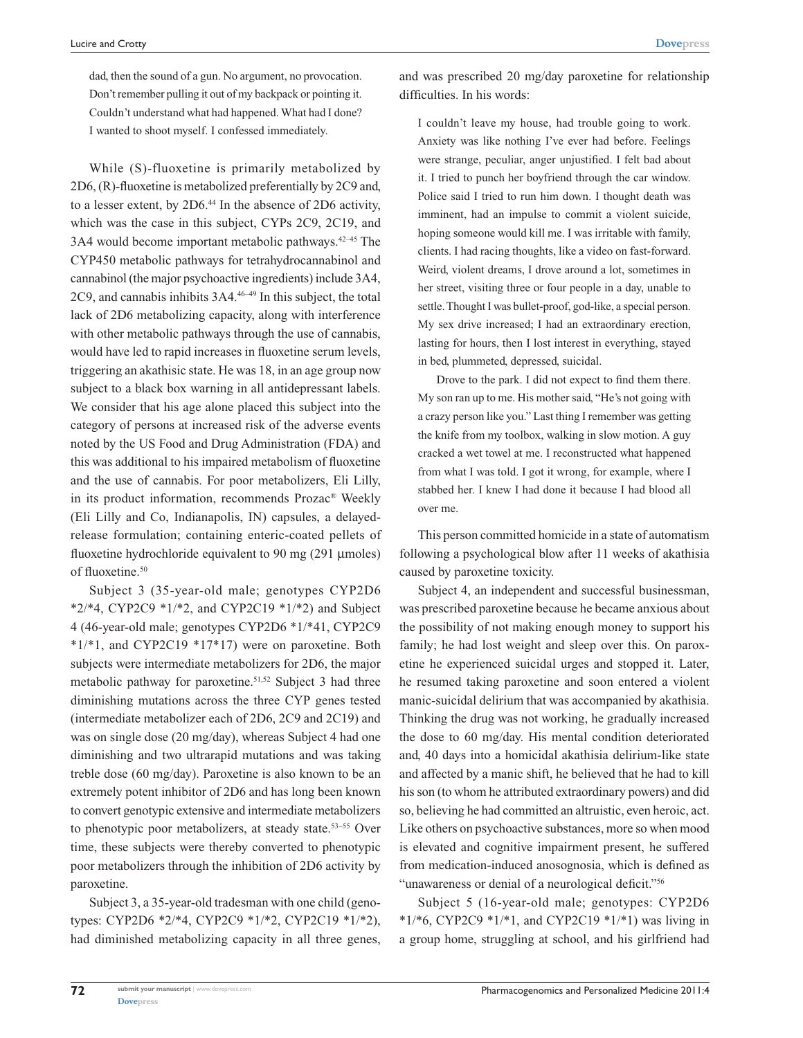dad, then the sound of a gun. No argument, no provocation. Don't remember pulling it out of my backpack or pointing it. Couldn't understand what had happened. What had I done? I wanted to shoot myself. I confessed immediately.

While (S)-fluoxetine is primarily metabolized by 2D6, (R)-fluoxetine is metabolized preferentially by 2C9 and, to a lesser extent, by 2D6.44 In the absence of 2D6 activity, which was the case in this subject, CYPs 2C9, 2C19, and 3A4 would become important metabolic pathways.42–45 The CYP450 metabolic pathways for tetrahydrocannabinol and cannabinol (the major psychoactive ingredients) include 3A4, 2C9, and cannabis inhibits 3A4.46–49 In this subject, the total lack of 2D6 metabolizing capacity, along with interference with other metabolic pathways through the use of cannabis, would have led to rapid increases in fluoxetine serum levels, triggering an akathisic state. He was 18, in an age group now subject to a black box warning in all antidepressant labels. We consider that his age alone placed this subject into the category of persons at increased risk of the adverse events noted by the US Food and Drug Administration (FDA) and this was additional to his impaired metabolism of fluoxetine and the use of cannabis. For poor metabolizers, Eli Lilly, in its product information, recommends Prozac® Weekly (Eli Lilly and Co, Indianapolis, IN) capsules, a delayedrelease formulation; containing enteric-coated pellets of fluoxetine hydrochloride equivalent to 90 mg (291 µmoles) of fluoxetine.<sup>50</sup>

Subject 3 (35-year-old male; genotypes CYP2D6 \*2/\*4, CYP2C9 \*1/\*2, and CYP2C19 \*1/\*2) and Subject 4 (46-year-old male; genotypes CYP2D6 \*1/\*41, CYP2C9 \*1/\*1, and CYP2C19 \*17\*17) were on paroxetine. Both subjects were intermediate metabolizers for 2D6, the major metabolic pathway for paroxetine.<sup>51,52</sup> Subject 3 had three diminishing mutations across the three CYP genes tested (intermediate metabolizer each of 2D6, 2C9 and 2C19) and was on single dose (20 mg/day), whereas Subject 4 had one diminishing and two ultrarapid mutations and was taking treble dose (60 mg/day). Paroxetine is also known to be an extremely potent inhibitor of 2D6 and has long been known to convert genotypic extensive and intermediate metabolizers to phenotypic poor metabolizers, at steady state.<sup>53-55</sup> Over time, these subjects were thereby converted to phenotypic poor metabolizers through the inhibition of 2D6 activity by paroxetine.

Subject 3, a 35-year-old tradesman with one child (genotypes: CYP2D6 \*2/\*4, CYP2C9 \*1/\*2, CYP2C19 \*1/\*2), had diminished metabolizing capacity in all three genes, and was prescribed 20 mg/day paroxetine for relationship difficulties. In his words:

I couldn't leave my house, had trouble going to work. Anxiety was like nothing I've ever had before. Feelings were strange, peculiar, anger unjustified. I felt bad about it. I tried to punch her boyfriend through the car window. Police said I tried to run him down. I thought death was imminent, had an impulse to commit a violent suicide, hoping someone would kill me. I was irritable with family, clients. I had racing thoughts, like a video on fast-forward. Weird, violent dreams, I drove around a lot, sometimes in her street, visiting three or four people in a day, unable to settle. Thought I was bullet-proof, god-like, a special person. My sex drive increased; I had an extraordinary erection, lasting for hours, then I lost interest in everything, stayed in bed, plummeted, depressed, suicidal.

Drove to the park. I did not expect to find them there. My son ran up to me. His mother said, "He's not going with a crazy person like you." Last thing I remember was getting the knife from my toolbox, walking in slow motion. A guy cracked a wet towel at me. I reconstructed what happened from what I was told. I got it wrong, for example, where I stabbed her. I knew I had done it because I had blood all over me.

This person committed homicide in a state of automatism following a psychological blow after 11 weeks of akathisia caused by paroxetine toxicity.

Subject 4, an independent and successful businessman, was prescribed paroxetine because he became anxious about the possibility of not making enough money to support his family; he had lost weight and sleep over this. On paroxetine he experienced suicidal urges and stopped it. Later, he resumed taking paroxetine and soon entered a violent manic-suicidal delirium that was accompanied by akathisia. Thinking the drug was not working, he gradually increased the dose to 60 mg/day. His mental condition deteriorated and, 40 days into a homicidal akathisia delirium-like state and affected by a manic shift, he believed that he had to kill his son (to whom he attributed extraordinary powers) and did so, believing he had committed an altruistic, even heroic, act. Like others on psychoactive substances, more so when mood is elevated and cognitive impairment present, he suffered from medication-induced anosognosia, which is defined as "unawareness or denial of a neurological deficit."56

Subject 5 (16-year-old male; genotypes: CYP2D6 \*1/\*6, CYP2C9 \*1/\*1, and CYP2C19 \*1/\*1) was living in a group home, struggling at school, and his girlfriend had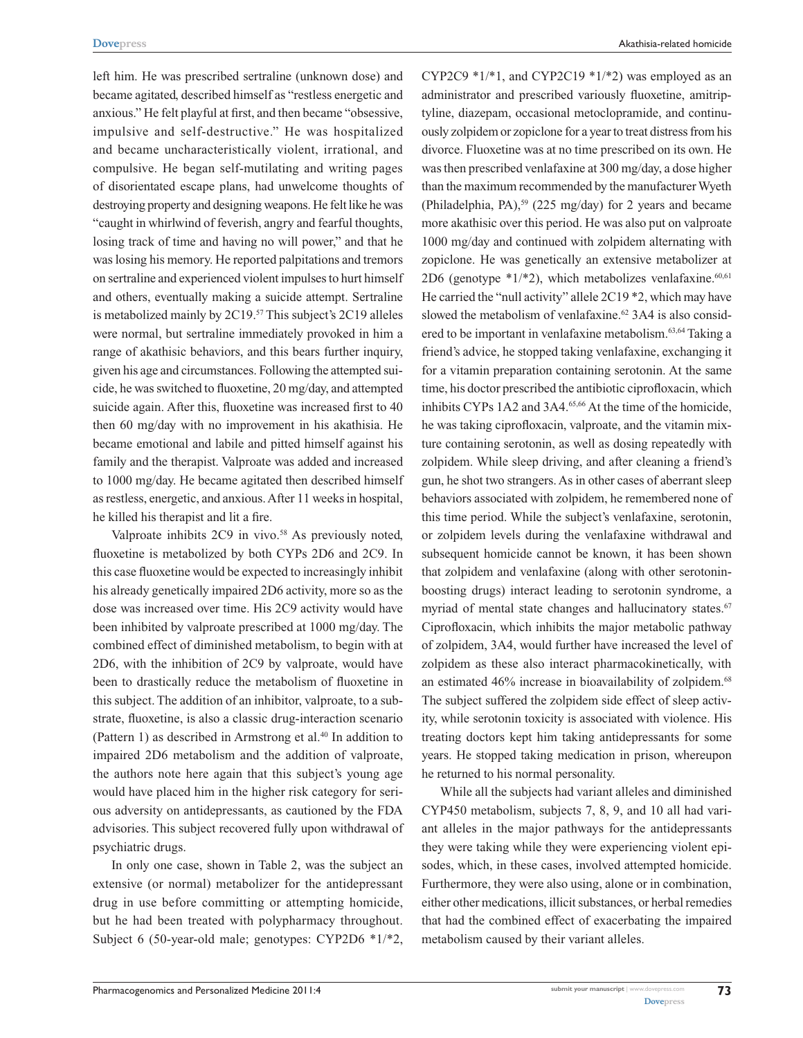left him. He was prescribed sertraline (unknown dose) and became agitated, described himself as "restless energetic and anxious." He felt playful at first, and then became "obsessive, impulsive and self-destructive." He was hospitalized and became uncharacteristically violent, irrational, and compulsive. He began self-mutilating and writing pages of disorientated escape plans, had unwelcome thoughts of destroying property and designing weapons. He felt like he was "caught in whirlwind of feverish, angry and fearful thoughts, losing track of time and having no will power," and that he was losing his memory. He reported palpitations and tremors on sertraline and experienced violent impulses to hurt himself and others, eventually making a suicide attempt. Sertraline is metabolized mainly by 2C19.<sup>57</sup> This subject's 2C19 alleles were normal, but sertraline immediately provoked in him a range of akathisic behaviors, and this bears further inquiry, given his age and circumstances. Following the attempted suicide, he was switched to fluoxetine, 20 mg/day, and attempted suicide again. After this, fluoxetine was increased first to 40 then 60 mg/day with no improvement in his akathisia. He became emotional and labile and pitted himself against his family and the therapist. Valproate was added and increased to 1000 mg/day. He became agitated then described himself as restless, energetic, and anxious. After 11 weeks in hospital, he killed his therapist and lit a fire.

Valproate inhibits 2C9 in vivo.<sup>58</sup> As previously noted, fluoxetine is metabolized by both CYPs 2D6 and 2C9. In this case fluoxetine would be expected to increasingly inhibit his already genetically impaired 2D6 activity, more so as the dose was increased over time. His 2C9 activity would have been inhibited by valproate prescribed at 1000 mg/day. The combined effect of diminished metabolism, to begin with at 2D6, with the inhibition of 2C9 by valproate, would have been to drastically reduce the metabolism of fluoxetine in this subject. The addition of an inhibitor, valproate, to a substrate, fluoxetine, is also a classic drug-interaction scenario (Pattern 1) as described in Armstrong et al.<sup>40</sup> In addition to impaired 2D6 metabolism and the addition of valproate, the authors note here again that this subject's young age would have placed him in the higher risk category for serious adversity on antidepressants, as cautioned by the FDA advisories. This subject recovered fully upon withdrawal of psychiatric drugs.

In only one case, shown in Table 2, was the subject an extensive (or normal) metabolizer for the antidepressant drug in use before committing or attempting homicide, but he had been treated with polypharmacy throughout. Subject 6 (50-year-old male; genotypes: CYP2D6 \*1/\*2,

CYP2C9  $*1/*1$ , and CYP2C19  $*1/*2$ ) was employed as an administrator and prescribed variously fluoxetine, amitriptyline, diazepam, occasional metoclopramide, and continuously zolpidem or zopiclone for a year to treat distress from his divorce. Fluoxetine was at no time prescribed on its own. He was then prescribed venlafaxine at 300 mg/day, a dose higher than the maximum recommended by the manufacturer Wyeth (Philadelphia, PA),<sup>59</sup> (225 mg/day) for 2 years and became more akathisic over this period. He was also put on valproate 1000 mg/day and continued with zolpidem alternating with zopiclone. He was genetically an extensive metabolizer at 2D6 (genotype  $*1/*2$ ), which metabolizes venlafaxine.<sup>60,61</sup> He carried the "null activity" allele 2C19 \*2, which may have slowed the metabolism of venlafaxine.<sup>62</sup> 3A4 is also considered to be important in venlafaxine metabolism.63,64 Taking a friend's advice, he stopped taking venlafaxine, exchanging it for a vitamin preparation containing serotonin. At the same time, his doctor prescribed the antibiotic ciprofloxacin, which inhibits CYPs 1A2 and 3A4.<sup>65,66</sup> At the time of the homicide, he was taking ciprofloxacin, valproate, and the vitamin mixture containing serotonin, as well as dosing repeatedly with zolpidem. While sleep driving, and after cleaning a friend's gun, he shot two strangers. As in other cases of aberrant sleep behaviors associated with zolpidem, he remembered none of this time period. While the subject's venlafaxine, serotonin, or zolpidem levels during the venlafaxine withdrawal and subsequent homicide cannot be known, it has been shown that zolpidem and venlafaxine (along with other serotoninboosting drugs) interact leading to serotonin syndrome, a myriad of mental state changes and hallucinatory states.<sup>67</sup> Ciprofloxacin, which inhibits the major metabolic pathway of zolpidem, 3A4, would further have increased the level of zolpidem as these also interact pharmacokinetically, with an estimated 46% increase in bioavailability of zolpidem.<sup>68</sup> The subject suffered the zolpidem side effect of sleep activity, while serotonin toxicity is associated with violence. His treating doctors kept him taking antidepressants for some years. He stopped taking medication in prison, whereupon he returned to his normal personality.

While all the subjects had variant alleles and diminished CYP450 metabolism, subjects 7, 8, 9, and 10 all had variant alleles in the major pathways for the antidepressants they were taking while they were experiencing violent episodes, which, in these cases, involved attempted homicide. Furthermore, they were also using, alone or in combination, either other medications, illicit substances, or herbal remedies that had the combined effect of exacerbating the impaired metabolism caused by their variant alleles.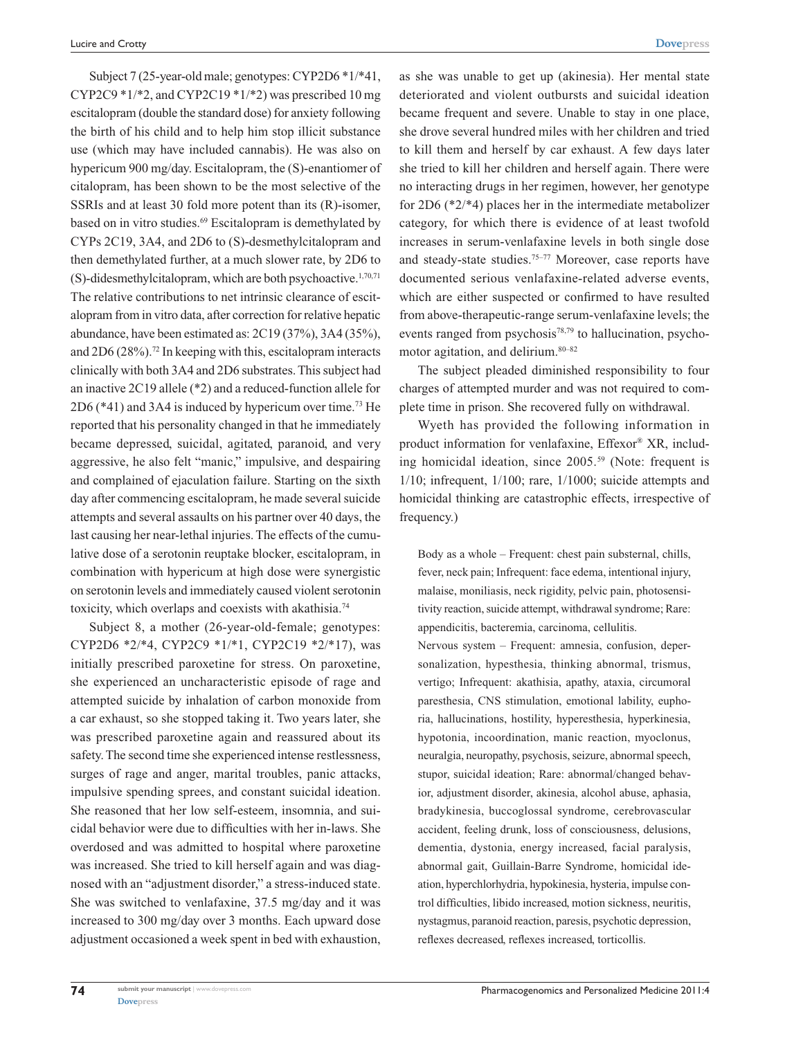Subject 7 (25-year-old male; genotypes: CYP2D6 \*1/\*41, CYP2C9  $*1/*2$ , and CYP2C19  $*1/*2$ ) was prescribed 10 mg escitalopram (double the standard dose) for anxiety following the birth of his child and to help him stop illicit substance use (which may have included cannabis). He was also on hypericum 900 mg/day. Escitalopram, the (S)-enantiomer of citalopram, has been shown to be the most selective of the SSRIs and at least 30 fold more potent than its (R)-isomer, based on in vitro studies.<sup>69</sup> Escitalopram is demethylated by CYPs 2C19, 3A4, and 2D6 to (S)-desmethylcitalopram and then demethylated further, at a much slower rate, by 2D6 to (S)-didesmethylcitalopram, which are both psychoactive.1,70,71 The relative contributions to net intrinsic clearance of escitalopram from in vitro data, after correction for relative hepatic abundance, have been estimated as: 2C19 (37%), 3A4 (35%), and  $2D6 (28\%)$ .<sup>72</sup> In keeping with this, escitalopram interacts clinically with both 3A4 and 2D6 substrates. This subject had an inactive 2C19 allele (\*2) and a reduced-function allele for 2D6 (\*41) and 3A4 is induced by hypericum over time.73 He reported that his personality changed in that he immediately became depressed, suicidal, agitated, paranoid, and very aggressive, he also felt "manic," impulsive, and despairing and complained of ejaculation failure. Starting on the sixth day after commencing escitalopram, he made several suicide attempts and several assaults on his partner over 40 days, the last causing her near-lethal injuries. The effects of the cumulative dose of a serotonin reuptake blocker, escitalopram, in combination with hypericum at high dose were synergistic on serotonin levels and immediately caused violent serotonin toxicity, which overlaps and coexists with akathisia.74

Subject 8, a mother (26-year-old-female; genotypes: CYP2D6 \*2/\*4, CYP2C9 \*1/\*1, CYP2C19 \*2/\*17), was initially prescribed paroxetine for stress. On paroxetine, she experienced an uncharacteristic episode of rage and attempted suicide by inhalation of carbon monoxide from a car exhaust, so she stopped taking it. Two years later, she was prescribed paroxetine again and reassured about its safety. The second time she experienced intense restlessness, surges of rage and anger, marital troubles, panic attacks, impulsive spending sprees, and constant suicidal ideation. She reasoned that her low self-esteem, insomnia, and suicidal behavior were due to difficulties with her in-laws. She overdosed and was admitted to hospital where paroxetine was increased. She tried to kill herself again and was diagnosed with an "adjustment disorder," a stress-induced state. She was switched to venlafaxine, 37.5 mg/day and it was increased to 300 mg/day over 3 months. Each upward dose adjustment occasioned a week spent in bed with exhaustion, as she was unable to get up (akinesia). Her mental state deteriorated and violent outbursts and suicidal ideation became frequent and severe. Unable to stay in one place, she drove several hundred miles with her children and tried to kill them and herself by car exhaust. A few days later she tried to kill her children and herself again. There were no interacting drugs in her regimen, however, her genotype for 2D6 (\*2/\*4) places her in the intermediate metabolizer category, for which there is evidence of at least twofold increases in serum-venlafaxine levels in both single dose and steady-state studies.75–77 Moreover, case reports have documented serious venlafaxine-related adverse events, which are either suspected or confirmed to have resulted from above-therapeutic-range serum-venlafaxine levels; the events ranged from psychosis $78,79$  to hallucination, psychomotor agitation, and delirium.80–82

The subject pleaded diminished responsibility to four charges of attempted murder and was not required to complete time in prison. She recovered fully on withdrawal.

Wyeth has provided the following information in product information for venlafaxine, Effexor® XR, including homicidal ideation, since 2005.59 (Note: frequent is 1/10; infrequent, 1/100; rare, 1/1000; suicide attempts and homicidal thinking are catastrophic effects, irrespective of frequency.)

Body as a whole – Frequent: chest pain substernal, chills, fever, neck pain; Infrequent: face edema, intentional injury, malaise, moniliasis, neck rigidity, pelvic pain, photosensitivity reaction, suicide attempt, withdrawal syndrome; Rare: appendicitis, bacteremia, carcinoma, cellulitis.

Nervous system – Frequent: amnesia, confusion, depersonalization, hypesthesia, thinking abnormal, trismus, vertigo; Infrequent: akathisia, apathy, ataxia, circumoral paresthesia, CNS stimulation, emotional lability, euphoria, hallucinations, hostility, hyperesthesia, hyperkinesia, hypotonia, incoordination, manic reaction, myoclonus, neuralgia, neuropathy, psychosis, seizure, abnormal speech, stupor, suicidal ideation; Rare: abnormal/changed behavior, adjustment disorder, akinesia, alcohol abuse, aphasia, bradykinesia, buccoglossal syndrome, cerebrovascular accident, feeling drunk, loss of consciousness, delusions, dementia, dystonia, energy increased, facial paralysis, abnormal gait, Guillain-Barre Syndrome, homicidal ideation, hyperchlorhydria, hypokinesia, hysteria, impulse control difficulties, libido increased, motion sickness, neuritis, nystagmus, paranoid reaction, paresis, psychotic depression, reflexes decreased, reflexes increased, torticollis.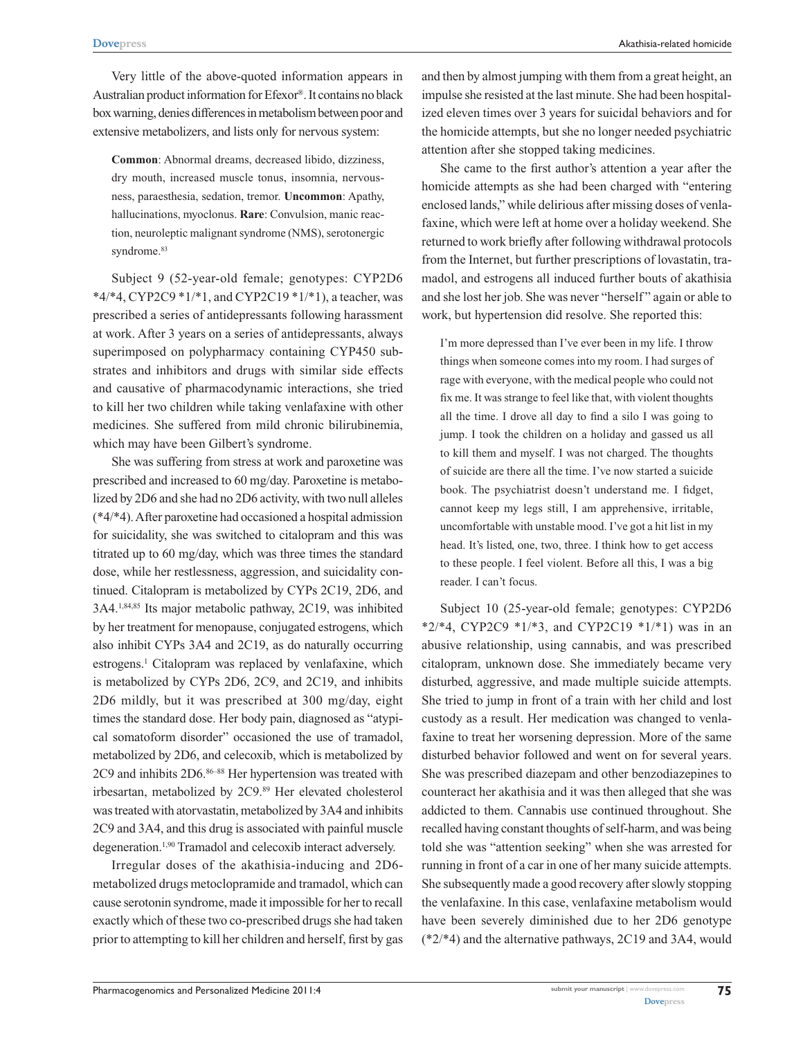Very little of the above-quoted information appears in Australian product information for Efexor®. It contains no black box warning, denies differences in metabolism between poor and extensive metabolizers, and lists only for nervous system:

**Common**: Abnormal dreams, decreased libido, dizziness, dry mouth, increased muscle tonus, insomnia, nervousness, paraesthesia, sedation, tremor. **Uncommon**: Apathy, hallucinations, myoclonus. **Rare**: Convulsion, manic reaction, neuroleptic malignant syndrome (NMS), serotonergic syndrome.<sup>83</sup>

Subject 9 (52-year-old female; genotypes: CYP2D6  $*4/*4$ , CYP2C9  $*1/*1$ , and CYP2C19  $*1/*1$ ), a teacher, was prescribed a series of antidepressants following harassment at work. After 3 years on a series of antidepressants, always superimposed on polypharmacy containing CYP450 substrates and inhibitors and drugs with similar side effects and causative of pharmacodynamic interactions, she tried to kill her two children while taking venlafaxine with other medicines. She suffered from mild chronic bilirubinemia, which may have been Gilbert's syndrome.

She was suffering from stress at work and paroxetine was prescribed and increased to 60 mg/day. Paroxetine is metabolized by 2D6 and she had no 2D6 activity, with two null alleles (\*4/\*4). After paroxetine had occasioned a hospital admission for suicidality, she was switched to citalopram and this was titrated up to 60 mg/day, which was three times the standard dose, while her restlessness, aggression, and suicidality continued. Citalopram is metabolized by CYPs 2C19, 2D6, and 3A4.1,84,85 Its major metabolic pathway, 2C19, was inhibited by her treatment for menopause, conjugated estrogens, which also inhibit CYPs 3A4 and 2C19, as do naturally occurring estrogens.<sup>1</sup> Citalopram was replaced by venlafaxine, which is metabolized by CYPs 2D6, 2C9, and 2C19, and inhibits 2D6 mildly, but it was prescribed at 300 mg/day, eight times the standard dose. Her body pain, diagnosed as "atypical somatoform disorder" occasioned the use of tramadol, metabolized by 2D6, and celecoxib, which is metabolized by 2C9 and inhibits 2D6.86–88 Her hypertension was treated with irbesartan, metabolized by 2C9.89 Her elevated cholesterol was treated with atorvastatin, metabolized by 3A4 and inhibits 2C9 and 3A4, and this drug is associated with painful muscle degeneration.1,90 Tramadol and celecoxib interact adversely.

Irregular doses of the akathisia-inducing and 2D6 metabolized drugs metoclopramide and tramadol, which can cause serotonin syndrome, made it impossible for her to recall exactly which of these two co-prescribed drugs she had taken prior to attempting to kill her children and herself, first by gas and then by almost jumping with them from a great height, an impulse she resisted at the last minute. She had been hospitalized eleven times over 3 years for suicidal behaviors and for the homicide attempts, but she no longer needed psychiatric attention after she stopped taking medicines.

She came to the first author's attention a year after the homicide attempts as she had been charged with "entering enclosed lands," while delirious after missing doses of venlafaxine, which were left at home over a holiday weekend. She returned to work briefly after following withdrawal protocols from the Internet, but further prescriptions of lovastatin, tramadol, and estrogens all induced further bouts of akathisia and she lost her job. She was never "herself " again or able to work, but hypertension did resolve. She reported this:

I'm more depressed than I've ever been in my life. I throw things when someone comes into my room. I had surges of rage with everyone, with the medical people who could not fix me. It was strange to feel like that, with violent thoughts all the time. I drove all day to find a silo I was going to jump. I took the children on a holiday and gassed us all to kill them and myself. I was not charged. The thoughts of suicide are there all the time. I've now started a suicide book. The psychiatrist doesn't understand me. I fidget, cannot keep my legs still, I am apprehensive, irritable, uncomfortable with unstable mood. I've got a hit list in my head. It's listed, one, two, three. I think how to get access to these people. I feel violent. Before all this, I was a big reader. I can't focus.

Subject 10 (25-year-old female; genotypes: CYP2D6 \*2/\*4, CYP2C9 \*1/\*3, and CYP2C19 \*1/\*1) was in an abusive relationship, using cannabis, and was prescribed citalopram, unknown dose. She immediately became very disturbed, aggressive, and made multiple suicide attempts. She tried to jump in front of a train with her child and lost custody as a result. Her medication was changed to venlafaxine to treat her worsening depression. More of the same disturbed behavior followed and went on for several years. She was prescribed diazepam and other benzodiazepines to counteract her akathisia and it was then alleged that she was addicted to them. Cannabis use continued throughout. She recalled having constant thoughts of self-harm, and was being told she was "attention seeking" when she was arrested for running in front of a car in one of her many suicide attempts. She subsequently made a good recovery after slowly stopping the venlafaxine. In this case, venlafaxine metabolism would have been severely diminished due to her 2D6 genotype  $(*2/*4)$  and the alternative pathways, 2C19 and 3A4, would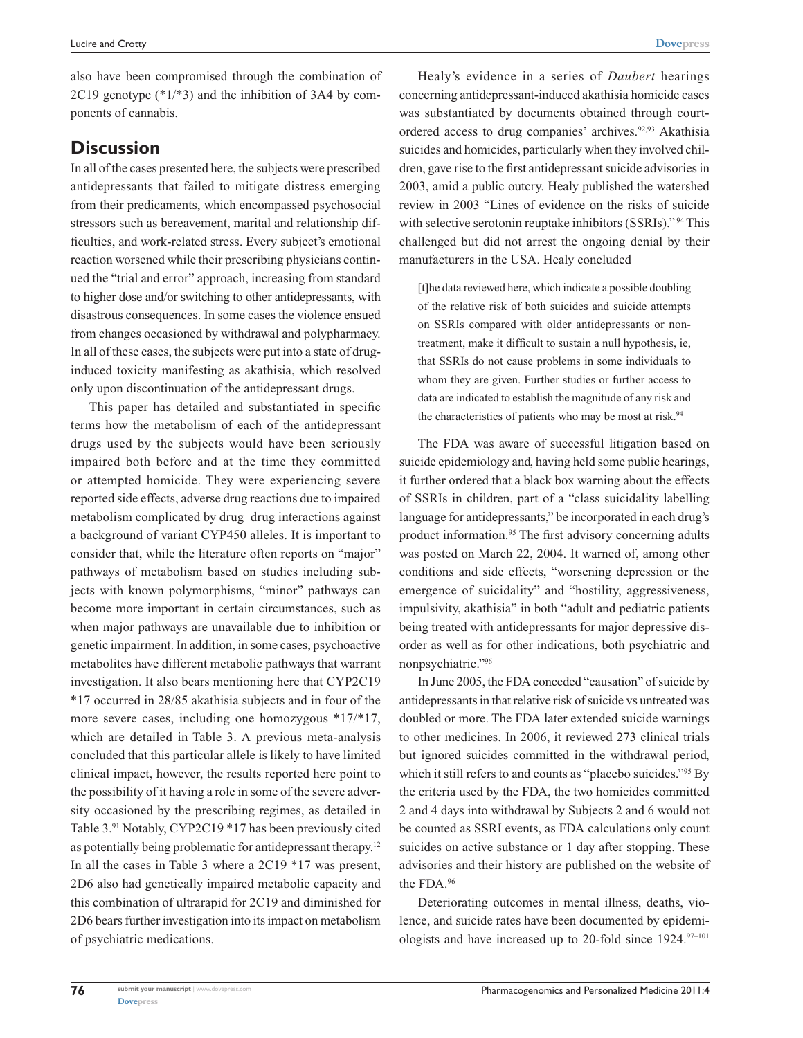**[Dovepress](www.dovepress.com)**

also have been compromised through the combination of 2C19 genotype (\*1/\*3) and the inhibition of 3A4 by components of cannabis.

### **Discussion**

In all of the cases presented here, the subjects were prescribed antidepressants that failed to mitigate distress emerging from their predicaments, which encompassed psychosocial stressors such as bereavement, marital and relationship difficulties, and work-related stress. Every subject's emotional reaction worsened while their prescribing physicians continued the "trial and error" approach, increasing from standard to higher dose and/or switching to other antidepressants, with disastrous consequences. In some cases the violence ensued from changes occasioned by withdrawal and polypharmacy. In all of these cases, the subjects were put into a state of druginduced toxicity manifesting as akathisia, which resolved only upon discontinuation of the antidepressant drugs.

This paper has detailed and substantiated in specific terms how the metabolism of each of the antidepressant drugs used by the subjects would have been seriously impaired both before and at the time they committed or attempted homicide. They were experiencing severe reported side effects, adverse drug reactions due to impaired metabolism complicated by drug–drug interactions against a background of variant CYP450 alleles. It is important to consider that, while the literature often reports on "major" pathways of metabolism based on studies including subjects with known polymorphisms, "minor" pathways can become more important in certain circumstances, such as when major pathways are unavailable due to inhibition or genetic impairment. In addition, in some cases, psychoactive metabolites have different metabolic pathways that warrant investigation. It also bears mentioning here that CYP2C19 \*17 occurred in 28/85 akathisia subjects and in four of the more severe cases, including one homozygous \*17/\*17, which are detailed in Table 3. A previous meta-analysis concluded that this particular allele is likely to have limited clinical impact, however, the results reported here point to the possibility of it having a role in some of the severe adversity occasioned by the prescribing regimes, as detailed in Table 3.91 Notably, CYP2C19 \*17 has been previously cited as potentially being problematic for antidepressant therapy.12 In all the cases in Table 3 where a 2C19 \*17 was present, 2D6 also had genetically impaired metabolic capacity and this combination of ultrarapid for 2C19 and diminished for 2D6 bears further investigation into its impact on metabolism of psychiatric medications.

Healy's evidence in a series of *Daubert* hearings concerning antidepressant-induced akathisia homicide cases was substantiated by documents obtained through courtordered access to drug companies' archives.<sup>92,93</sup> Akathisia suicides and homicides, particularly when they involved children, gave rise to the first antidepressant suicide advisories in 2003, amid a public outcry. Healy published the watershed review in 2003 "Lines of evidence on the risks of suicide with selective serotonin reuptake inhibitors (SSRIs)."<sup>94</sup> This challenged but did not arrest the ongoing denial by their manufacturers in the USA. Healy concluded

[t]he data reviewed here, which indicate a possible doubling of the relative risk of both suicides and suicide attempts on SSRIs compared with older antidepressants or nontreatment, make it difficult to sustain a null hypothesis, ie, that SSRIs do not cause problems in some individuals to whom they are given. Further studies or further access to data are indicated to establish the magnitude of any risk and the characteristics of patients who may be most at risk.<sup>94</sup>

The FDA was aware of successful litigation based on suicide epidemiology and, having held some public hearings, it further ordered that a black box warning about the effects of SSRIs in children, part of a "class suicidality labelling language for antidepressants," be incorporated in each drug's product information.95 The first advisory concerning adults was posted on March 22, 2004. It warned of, among other conditions and side effects, "worsening depression or the emergence of suicidality" and "hostility, aggressiveness, impulsivity, akathisia" in both "adult and pediatric patients being treated with antidepressants for major depressive disorder as well as for other indications, both psychiatric and nonpsychiatric."96

In June 2005, the FDA conceded "causation" of suicide by antidepressants in that relative risk of suicide vs untreated was doubled or more. The FDA later extended suicide warnings to other medicines. In 2006, it reviewed 273 clinical trials but ignored suicides committed in the withdrawal period, which it still refers to and counts as "placebo suicides."<sup>95</sup> By the criteria used by the FDA, the two homicides committed 2 and 4 days into withdrawal by Subjects 2 and 6 would not be counted as SSRI events, as FDA calculations only count suicides on active substance or 1 day after stopping. These advisories and their history are published on the website of the FDA.96

Deteriorating outcomes in mental illness, deaths, violence, and suicide rates have been documented by epidemiologists and have increased up to 20-fold since  $1924.^{97-101}$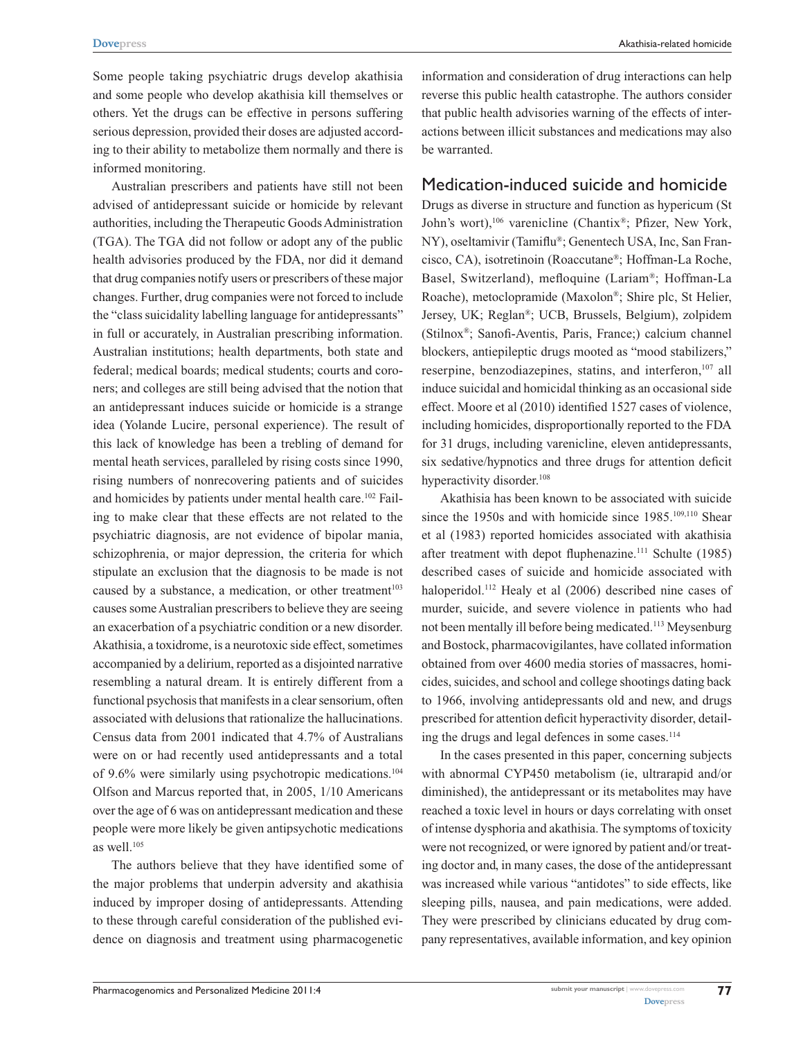Some people taking psychiatric drugs develop akathisia and some people who develop akathisia kill themselves or others. Yet the drugs can be effective in persons suffering serious depression, provided their doses are adjusted according to their ability to metabolize them normally and there is informed monitoring.

Australian prescribers and patients have still not been advised of antidepressant suicide or homicide by relevant authorities, including the Therapeutic Goods Administration (TGA). The TGA did not follow or adopt any of the public health advisories produced by the FDA, nor did it demand that drug companies notify users or prescribers of these major changes. Further, drug companies were not forced to include the "class suicidality labelling language for antidepressants" in full or accurately, in Australian prescribing information. Australian institutions; health departments, both state and federal; medical boards; medical students; courts and coroners; and colleges are still being advised that the notion that an antidepressant induces suicide or homicide is a strange idea (Yolande Lucire, personal experience). The result of this lack of knowledge has been a trebling of demand for mental heath services, paralleled by rising costs since 1990, rising numbers of nonrecovering patients and of suicides and homicides by patients under mental health care.<sup>102</sup> Failing to make clear that these effects are not related to the psychiatric diagnosis, are not evidence of bipolar mania, schizophrenia, or major depression, the criteria for which stipulate an exclusion that the diagnosis to be made is not caused by a substance, a medication, or other treatment<sup>103</sup> causes some Australian prescribers to believe they are seeing an exacerbation of a psychiatric condition or a new disorder. Akathisia, a toxidrome, is a neurotoxic side effect, sometimes accompanied by a delirium, reported as a disjointed narrative resembling a natural dream. It is entirely different from a functional psychosis that manifests in a clear sensorium, often associated with delusions that rationalize the hallucinations. Census data from 2001 indicated that 4.7% of Australians were on or had recently used antidepressants and a total of 9.6% were similarly using psychotropic medications.104 Olfson and Marcus reported that, in 2005, 1/10 Americans over the age of 6 was on antidepressant medication and these people were more likely be given antipsychotic medications as well. $105$ 

The authors believe that they have identified some of the major problems that underpin adversity and akathisia induced by improper dosing of antidepressants. Attending to these through careful consideration of the published evidence on diagnosis and treatment using pharmacogenetic

information and consideration of drug interactions can help reverse this public health catastrophe. The authors consider that public health advisories warning of the effects of interactions between illicit substances and medications may also be warranted.

#### Medication-induced suicide and homicide

Drugs as diverse in structure and function as hypericum (St John's wort),<sup>106</sup> varenicline (Chantix®; Pfizer, New York, NY), oseltamivir (Tamiflu®; Genentech USA, Inc, San Francisco, CA), isotretinoin (Roaccutane®; Hoffman-La Roche, Basel, Switzerland), mefloquine (Lariam®; Hoffman-La Roache), metoclopramide (Maxolon®; Shire plc, St Helier, Jersey, UK; Reglan®; UCB, Brussels, Belgium), zolpidem (Stilnox®; Sanofi-Aventis, Paris, France;) calcium channel blockers, antiepileptic drugs mooted as "mood stabilizers," reserpine, benzodiazepines, statins, and interferon,<sup>107</sup> all induce suicidal and homicidal thinking as an occasional side effect. Moore et al (2010) identified 1527 cases of violence, including homicides, disproportionally reported to the FDA for 31 drugs, including varenicline, eleven antidepressants, six sedative/hypnotics and three drugs for attention deficit hyperactivity disorder.<sup>108</sup>

Akathisia has been known to be associated with suicide since the 1950s and with homicide since 1985.<sup>109,110</sup> Shear et al (1983) reported homicides associated with akathisia after treatment with depot fluphenazine.<sup>111</sup> Schulte (1985) described cases of suicide and homicide associated with haloperidol.<sup>112</sup> Healy et al (2006) described nine cases of murder, suicide, and severe violence in patients who had not been mentally ill before being medicated.113 Meysenburg and Bostock, pharmacovigilantes, have collated information obtained from over 4600 media stories of massacres, homicides, suicides, and school and college shootings dating back to 1966, involving antidepressants old and new, and drugs prescribed for attention deficit hyperactivity disorder, detailing the drugs and legal defences in some cases.<sup>114</sup>

In the cases presented in this paper, concerning subjects with abnormal CYP450 metabolism (ie, ultrarapid and/or diminished), the antidepressant or its metabolites may have reached a toxic level in hours or days correlating with onset of intense dysphoria and akathisia. The symptoms of toxicity were not recognized, or were ignored by patient and/or treating doctor and, in many cases, the dose of the antidepressant was increased while various "antidotes" to side effects, like sleeping pills, nausea, and pain medications, were added. They were prescribed by clinicians educated by drug company representatives, available information, and key opinion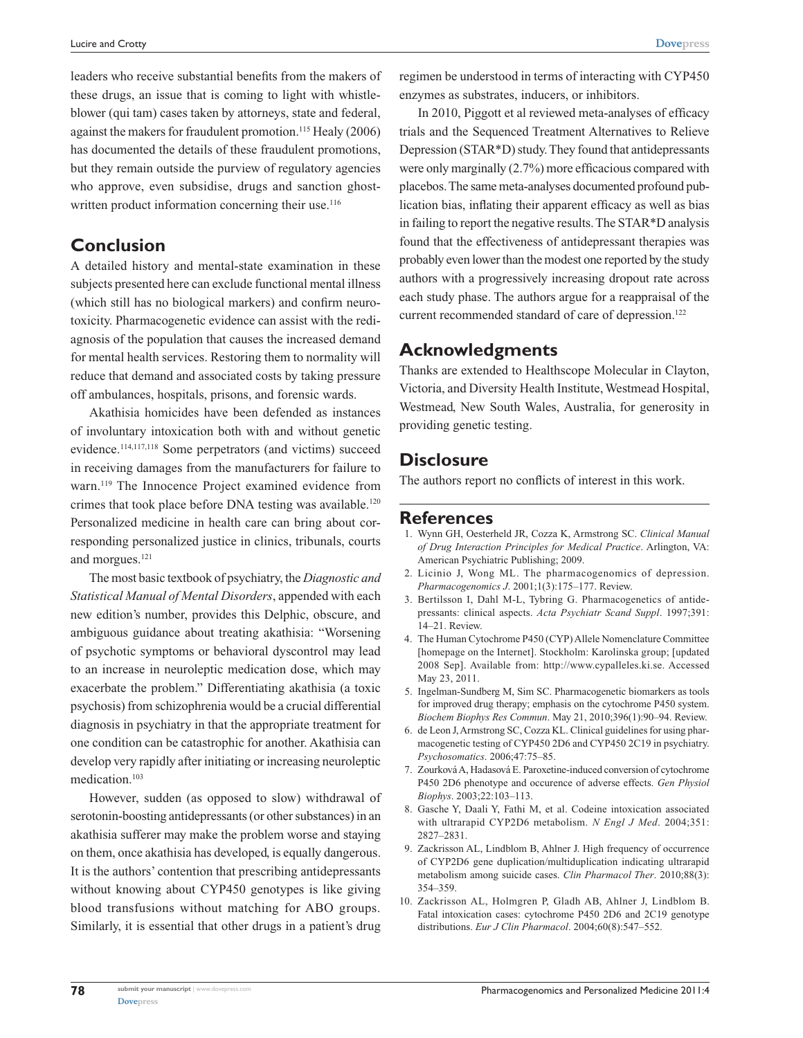**[Dovepress](www.dovepress.com)**

leaders who receive substantial benefits from the makers of these drugs, an issue that is coming to light with whistleblower (qui tam) cases taken by attorneys, state and federal, against the makers for fraudulent promotion.<sup>115</sup> Healy (2006) has documented the details of these fraudulent promotions, but they remain outside the purview of regulatory agencies who approve, even subsidise, drugs and sanction ghostwritten product information concerning their use.<sup>116</sup>

### **Conclusion**

A detailed history and mental-state examination in these subjects presented here can exclude functional mental illness (which still has no biological markers) and confirm neurotoxicity. Pharmacogenetic evidence can assist with the rediagnosis of the population that causes the increased demand for mental health services. Restoring them to normality will reduce that demand and associated costs by taking pressure off ambulances, hospitals, prisons, and forensic wards.

Akathisia homicides have been defended as instances of involuntary intoxication both with and without genetic evidence.114,117,118 Some perpetrators (and victims) succeed in receiving damages from the manufacturers for failure to warn.<sup>119</sup> The Innocence Project examined evidence from crimes that took place before DNA testing was available.<sup>120</sup> Personalized medicine in health care can bring about corresponding personalized justice in clinics, tribunals, courts and morgues.<sup>121</sup>

The most basic textbook of psychiatry, the *Diagnostic and Statistical Manual of Mental Disorders*, appended with each new edition's number, provides this Delphic, obscure, and ambiguous guidance about treating akathisia: "Worsening of psychotic symptoms or behavioral dyscontrol may lead to an increase in neuroleptic medication dose, which may exacerbate the problem." Differentiating akathisia (a toxic psychosis) from schizophrenia would be a crucial differential diagnosis in psychiatry in that the appropriate treatment for one condition can be catastrophic for another. Akathisia can develop very rapidly after initiating or increasing neuroleptic medication.103

However, sudden (as opposed to slow) withdrawal of serotonin-boosting antidepressants (or other substances) in an akathisia sufferer may make the problem worse and staying on them, once akathisia has developed, is equally dangerous. It is the authors' contention that prescribing antidepressants without knowing about CYP450 genotypes is like giving blood transfusions without matching for ABO groups. Similarly, it is essential that other drugs in a patient's drug

regimen be understood in terms of interacting with CYP450 enzymes as substrates, inducers, or inhibitors.

In 2010, Piggott et al reviewed meta-analyses of efficacy trials and the Sequenced Treatment Alternatives to Relieve Depression (STAR\*D) study. They found that antidepressants were only marginally (2.7%) more efficacious compared with placebos. The same meta-analyses documented profound publication bias, inflating their apparent efficacy as well as bias in failing to report the negative results. The STAR\*D analysis found that the effectiveness of antidepressant therapies was probably even lower than the modest one reported by the study authors with a progressively increasing dropout rate across each study phase. The authors argue for a reappraisal of the current recommended standard of care of depression.<sup>122</sup>

### **Acknowledgments**

Thanks are extended to Healthscope Molecular in Clayton, Victoria, and Diversity Health Institute, Westmead Hospital, Westmead, New South Wales, Australia, for generosity in providing genetic testing.

### **Disclosure**

The authors report no conflicts of interest in this work.

### **References**

- 1. Wynn GH, Oesterheld JR, Cozza K, Armstrong SC. *Clinical Manual of Drug Interaction Principles for Medical Practice*. Arlington, VA: American Psychiatric Publishing; 2009.
- 2. Licinio J, Wong ML. The pharmacogenomics of depression. *Pharmacogenomics J*. 2001;1(3):175–177. Review.
- 3. Bertilsson I, Dahl M-L, Tybring G. Pharmacogenetics of antidepressants: clinical aspects. *Acta Psychiatr Scand Suppl*. 1997;391: 14–21. Review.
- 4. The Human Cytochrome P450 (CYP) Allele Nomenclature Committee [homepage on the Internet]. Stockholm: Karolinska group; [updated 2008 Sep]. Available from: <http://www.cypalleles.ki.se>. Accessed May 23, 2011.
- 5. Ingelman-Sundberg M, Sim SC. Pharmacogenetic biomarkers as tools for improved drug therapy; emphasis on the cytochrome P450 system. *Biochem Biophys Res Commun*. May 21, 2010;396(1):90–94. Review.
- 6. de Leon J, Armstrong SC, Cozza KL. Clinical guidelines for using pharmacogenetic testing of CYP450 2D6 and CYP450 2C19 in psychiatry. *Psychosomatics*. 2006;47:75–85.
- 7. Zourková A, Hadasová E. Paroxetine-induced conversion of cytochrome P450 2D6 phenotype and occurence of adverse effects. *Gen Physiol Biophys*. 2003;22:103–113.
- 8. Gasche Y, Daali Y, Fathi M, et al. Codeine intoxication associated with ultrarapid CYP2D6 metabolism. *N Engl J Med*. 2004;351: 2827–2831.
- 9. Zackrisson AL, Lindblom B, Ahlner J. High frequency of occurrence of CYP2D6 gene duplication/multiduplication indicating ultrarapid metabolism among suicide cases. *Clin Pharmacol Ther*. 2010;88(3): 354–359.
- 10. Zackrisson AL, Holmgren P, Gladh AB, Ahlner J, Lindblom B. Fatal intoxication cases: cytochrome P450 2D6 and 2C19 genotype distributions. *Eur J Clin Pharmacol*. 2004;60(8):547–552.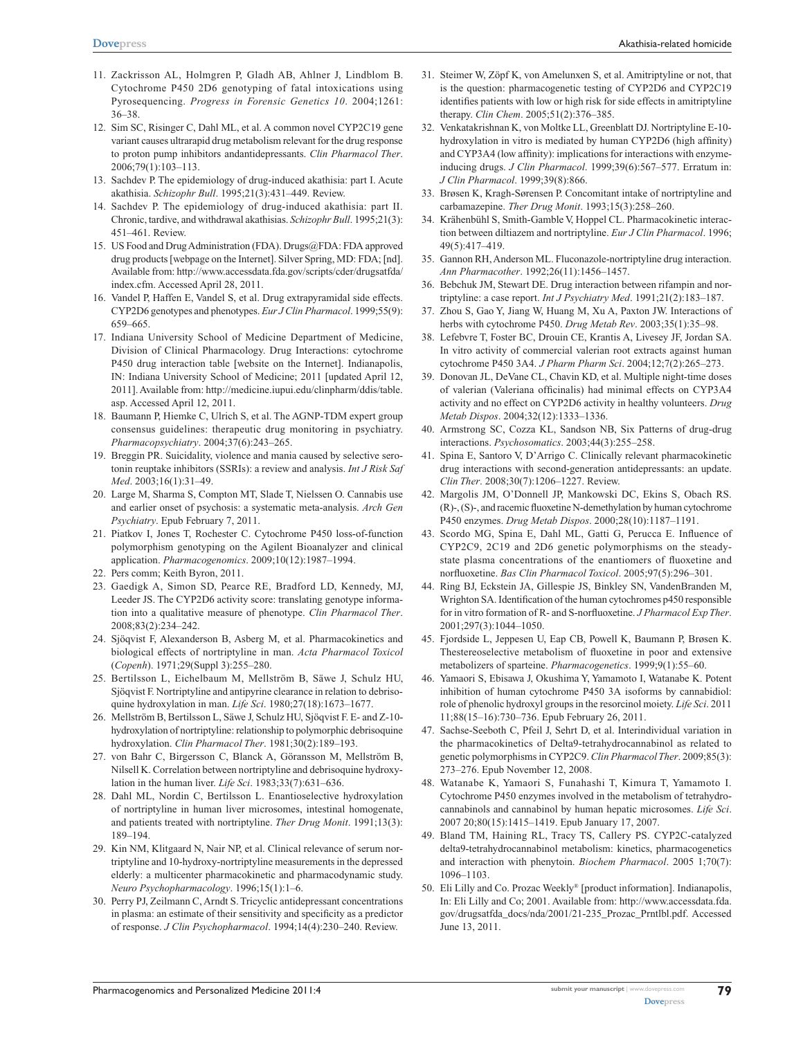- 11. Zackrisson AL, Holmgren P, Gladh AB, Ahlner J, Lindblom B. Cytochrome P450 2D6 genotyping of fatal intoxications using Pyrosequencing. *Progress in Forensic Genetics 10*. 2004;1261: 36–38.
- 12. Sim SC, Risinger C, Dahl ML, et al. A common novel CYP2C19 gene variant causes ultrarapid drug metabolism relevant for the drug response to proton pump inhibitors andantidepressants. *Clin Pharmacol Ther*. 2006;79(1):103–113.
- 13. Sachdev P. The epidemiology of drug-induced akathisia: part I. Acute akathisia. *Schizophr Bull*. 1995;21(3):431–449. Review.
- 14. Sachdev P. The epidemiology of drug-induced akathisia: part II. Chronic, tardive, and withdrawal akathisias. *Schizophr Bull*. 1995;21(3): 451–461. Review.
- 15. US Food and Drug Administration (FDA). Drugs@FDA: FDA approved drug products [webpage on the Internet]. Silver Spring, MD: FDA; [nd]. Available from: [http://www.accessdata.fda.gov/scripts/cder/drugsatfda/](http://www.accessdata.fda.gov/scripts/cder/drugsatfda/index.cfm) [index.cfm. Accessed April 28](http://www.accessdata.fda.gov/scripts/cder/drugsatfda/index.cfm), 2011.
- 16. Vandel P, Haffen E, Vandel S, et al. Drug extrapyramidal side effects. CYP2D6 genotypes and phenotypes. *Eur J Clin Pharmacol*. 1999;55(9): 659–665.
- 17. Indiana University School of Medicine Department of Medicine, Division of Clinical Pharmacology. Drug Interactions: cytochrome P450 drug interaction table [website on the Internet]. Indianapolis, IN: Indiana University School of Medicine; 2011 [updated April 12, 2011]. Available from: [http://medicine.iupui.edu/clinpharm/ddis/table.](http://medicine.iupui.edu/clinpharm/ddis/table.asp) [asp.](http://medicine.iupui.edu/clinpharm/ddis/table.asp) Accessed April 12, 2011.
- 18. Baumann P, Hiemke C, Ulrich S, et al. The AGNP-TDM expert group consensus guidelines: therapeutic drug monitoring in psychiatry. *Pharmacopsychiatry*. 2004;37(6):243–265.
- 19. Breggin PR. Suicidality, violence and mania caused by selective serotonin reuptake inhibitors (SSRIs): a review and analysis. *Int J Risk Saf Med*. 2003;16(1):31–49.
- 20. Large M, Sharma S, Compton MT, Slade T, Nielssen O. Cannabis use and earlier onset of psychosis: a systematic meta-analysis. *Arch Gen Psychiatry*. Epub February 7, 2011.
- 21. Piatkov I, Jones T, Rochester C. Cytochrome P450 loss-of-function polymorphism genotyping on the Agilent Bioanalyzer and clinical application. *Pharmacogenomics*. 2009;10(12):1987–1994.
- 22. Pers comm; Keith Byron, 2011.
- 23. Gaedigk A, Simon SD, Pearce RE, Bradford LD, Kennedy, MJ, Leeder JS. The CYP2D6 activity score: translating genotype information into a qualitative measure of phenotype. *Clin Pharmacol Ther*. 2008;83(2):234–242.
- 24. Sjöqvist F, Alexanderson B, Asberg M, et al. Pharmacokinetics and biological effects of nortriptyline in man. *Acta Pharmacol Toxicol* (*Copenh*). 1971;29(Suppl 3):255–280.
- 25. Bertilsson L, Eichelbaum M, Mellström B, Säwe J, Schulz HU, Sjöqvist F. Nortriptyline and antipyrine clearance in relation to debrisoquine hydroxylation in man. *Life Sci*. 1980;27(18):1673–1677.
- 26. Mellström B, Bertilsson L, Säwe J, Schulz HU, Sjöqvist F. E- and Z-10 hydroxylation of nortriptyline: relationship to polymorphic debrisoquine hydroxylation. *Clin Pharmacol Ther*. 1981;30(2):189–193.
- 27. von Bahr C, Birgersson C, Blanck A, Göransson M, Mellström B, Nilsell K. Correlation between nortriptyline and debrisoquine hydroxylation in the human liver. *Life Sci*. 1983;33(7):631–636.
- 28. Dahl ML, Nordin C, Bertilsson L. Enantioselective hydroxylation of nortriptyline in human liver microsomes, intestinal homogenate, and patients treated with nortriptyline. *Ther Drug Monit*. 1991;13(3): 189–194.
- 29. Kin NM, Klitgaard N, Nair NP, et al. Clinical relevance of serum nortriptyline and 10-hydroxy-nortriptyline measurements in the depressed elderly: a multicenter pharmacokinetic and pharmacodynamic study. *Neuro Psychopharmacology*. 1996;15(1):1–6.
- 30. Perry PJ, Zeilmann C, Arndt S. Tricyclic antidepressant concentrations in plasma: an estimate of their sensitivity and specificity as a predictor of response. *J Clin Psychopharmacol*. 1994;14(4):230–240. Review.
- 31. Steimer W, Zöpf K, von Amelunxen S, et al. Amitriptyline or not, that is the question: pharmacogenetic testing of CYP2D6 and CYP2C19 identifies patients with low or high risk for side effects in amitriptyline therapy. *Clin Chem*. 2005;51(2):376–385.
- 32. Venkatakrishnan K, von Moltke LL, Greenblatt DJ. Nortriptyline E-10 hydroxylation in vitro is mediated by human CYP2D6 (high affinity) and CYP3A4 (low affinity): implications for interactions with enzymeinducing drugs. *J Clin Pharmacol*. 1999;39(6):567–577. Erratum in: *J Clin Pharmacol*. 1999;39(8):866.
- 33. Brøsen K, Kragh-Sørensen P. Concomitant intake of nortriptyline and carbamazepine. *Ther Drug Monit*. 1993;15(3):258–260.
- 34. Krähenbühl S, Smith-Gamble V, Hoppel CL. Pharmacokinetic interaction between diltiazem and nortriptyline. *Eur J Clin Pharmacol*. 1996; 49(5):417–419.
- 35. Gannon RH, Anderson ML. Fluconazole-nortriptyline drug interaction. *Ann Pharmacother*. 1992;26(11):1456–1457.
- 36. Bebchuk JM, Stewart DE. Drug interaction between rifampin and nortriptyline: a case report. *Int J Psychiatry Med*. 1991;21(2):183–187.
- 37. Zhou S, Gao Y, Jiang W, Huang M, Xu A, Paxton JW. Interactions of herbs with cytochrome P450. *Drug Metab Rev*. 2003;35(1):35–98.
- 38. Lefebvre T, Foster BC, Drouin CE, Krantis A, Livesey JF, Jordan SA. In vitro activity of commercial valerian root extracts against human cytochrome P450 3A4. *J Pharm Pharm Sci*. 2004;12;7(2):265–273.
- 39. Donovan JL, DeVane CL, Chavin KD, et al. Multiple night-time doses of valerian (Valeriana officinalis) had minimal effects on CYP3A4 activity and no effect on CYP2D6 activity in healthy volunteers. *Drug Metab Dispos*. 2004;32(12):1333–1336.
- 40. Armstrong SC, Cozza KL, Sandson NB, Six Patterns of drug-drug interactions. *Psychosomatics*. 2003;44(3):255–258.
- 41. Spina E, Santoro V, D'Arrigo C. Clinically relevant pharmacokinetic drug interactions with second-generation antidepressants: an update. *Clin Ther*. 2008;30(7):1206–1227. Review.
- 42. Margolis JM, O'Donnell JP, Mankowski DC, Ekins S, Obach RS. (R)-, (S)-, and racemic fluoxetine N-demethylation by human cytochrome P450 enzymes. *Drug Metab Dispos*. 2000;28(10):1187–1191.
- 43. Scordo MG, Spina E, Dahl ML, Gatti G, Perucca E. Influence of CYP2C9, 2C19 and 2D6 genetic polymorphisms on the steadystate plasma concentrations of the enantiomers of fluoxetine and norfluoxetine. *Bas Clin Pharmacol Toxicol*. 2005;97(5):296–301.
- 44. Ring BJ, Eckstein JA, Gillespie JS, Binkley SN, VandenBranden M, Wrighton SA. Identification of the human cytochromes p450 responsible for in vitro formation of R- and S-norfluoxetine. *J Pharmacol Exp Ther*. 2001;297(3):1044–1050.
- 45. Fjordside L, Jeppesen U, Eap CB, Powell K, Baumann P, Brøsen K. Thestereoselective metabolism of fluoxetine in poor and extensive metabolizers of sparteine. *Pharmacogenetics*. 1999;9(1):55–60.
- 46. Yamaori S, Ebisawa J, Okushima Y, Yamamoto I, Watanabe K. Potent inhibition of human cytochrome P450 3A isoforms by cannabidiol: role of phenolic hydroxyl groups in the resorcinol moiety. *Life Sci*. 2011 11;88(15–16):730–736. Epub February 26, 2011.
- 47. Sachse-Seeboth C, Pfeil J, Sehrt D, et al. Interindividual variation in the pharmacokinetics of Delta9-tetrahydrocannabinol as related to genetic polymorphisms in CYP2C9. *Clin Pharmacol Ther*. 2009;85(3): 273–276. Epub November 12, 2008.
- 48. Watanabe K, Yamaori S, Funahashi T, Kimura T, Yamamoto I. Cytochrome P450 enzymes involved in the metabolism of tetrahydrocannabinols and cannabinol by human hepatic microsomes. *Life Sci*. 2007 20;80(15):1415–1419. Epub January 17, 2007.
- 49. Bland TM, Haining RL, Tracy TS, Callery PS. CYP2C-catalyzed delta9-tetrahydrocannabinol metabolism: kinetics, pharmacogenetics and interaction with phenytoin. *Biochem Pharmacol*. 2005 1;70(7): 1096–1103.
- 50. Eli Lilly and Co. Prozac Weekly® [product information]. Indianapolis, In: Eli Lilly and Co; 2001. Available from: [http://www.accessdata.fda.](http://www.accessdata.fda.gov/drugsatfda_docs/nda/2001/21-235_Prozac_Prntlbl.pdf) [gov/drugsatfda\\_docs/nda/2001/21-235\\_Prozac\\_Prntlbl.pdf. Accessed](http://www.accessdata.fda.gov/drugsatfda_docs/nda/2001/21-235_Prozac_Prntlbl.pdf)  [June 13](http://www.accessdata.fda.gov/drugsatfda_docs/nda/2001/21-235_Prozac_Prntlbl.pdf), 2011.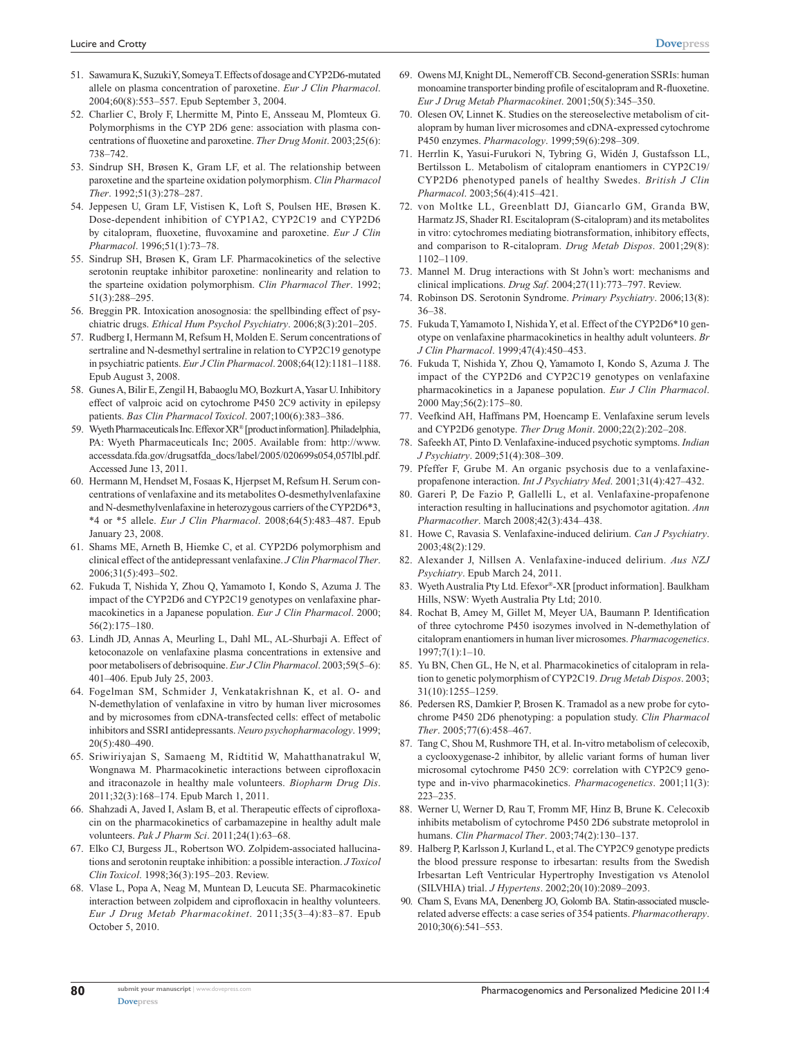- 51. Sawamura K, Suzuki Y, Someya T. Effects of dosage and CYP2D6-mutated allele on plasma concentration of paroxetine. *Eur J Clin Pharmacol*. 2004;60(8):553–557. Epub September 3, 2004.
- 52. Charlier C, Broly F, Lhermitte M, Pinto E, Ansseau M, Plomteux G. Polymorphisms in the CYP 2D6 gene: association with plasma concentrations of fluoxetine and paroxetine. *Ther Drug Monit*. 2003;25(6): 738–742.
- 53. Sindrup SH, Brøsen K, Gram LF, et al. The relationship between paroxetine and the sparteine oxidation polymorphism. *Clin Pharmacol Ther*. 1992;51(3):278–287.
- 54. Jeppesen U, Gram LF, Vistisen K, Loft S, Poulsen HE, Brøsen K. Dose-dependent inhibition of CYP1A2, CYP2C19 and CYP2D6 by citalopram, fluoxetine, fluvoxamine and paroxetine. *Eur J Clin Pharmacol*. 1996;51(1):73–78.
- 55. Sindrup SH, Brøsen K, Gram LF. Pharmacokinetics of the selective serotonin reuptake inhibitor paroxetine: nonlinearity and relation to the sparteine oxidation polymorphism. *Clin Pharmacol Ther*. 1992; 51(3):288–295.
- 56. Breggin PR. Intoxication anosognosia: the spellbinding effect of psychiatric drugs. *Ethical Hum Psychol Psychiatry*. 2006;8(3):201–205.
- 57. Rudberg I, Hermann M, Refsum H, Molden E. Serum concentrations of sertraline and N-desmethyl sertraline in relation to CYP2C19 genotype in psychiatric patients. *Eur J Clin Pharmacol*. 2008;64(12):1181–1188. Epub August 3, 2008.
- 58. Gunes A, Bilir E, Zengil H, Babaoglu MO, Bozkurt A, Yasar U. Inhibitory effect of valproic acid on cytochrome P450 2C9 activity in epilepsy patients. *Bas Clin Pharmacol Toxicol*. 2007;100(6):383–386.
- 59. Wyeth Pharmaceuticals Inc. Effexor XR® [product information]. Philadelphia, PA: Wyeth Pharmaceuticals Inc; 2005. Available from: [http://www.](www.accessdata.fda.gov/drugsatfda_docs/label/2005/020699s054,057lbl.pdf) [accessdata.fda.gov/drugsatfda\\_docs/label/2005/020699s054,057](www.accessdata.fda.gov/drugsatfda_docs/label/2005/020699s054,057lbl.pdf)lbl.pdf. Accessed June 13, 2011.
- 60. Hermann M, Hendset M, Fosaas K, Hjerpset M, Refsum H. Serum concentrations of venlafaxine and its metabolites O-desmethylvenlafaxine and N-desmethylvenlafaxine in heterozygous carriers of the CYP2D6\*3, \*4 or \*5 allele. *Eur J Clin Pharmacol*. 2008;64(5):483–487. Epub January 23, 2008.
- 61. Shams ME, Arneth B, Hiemke C, et al. CYP2D6 polymorphism and clinical effect of the antidepressant venlafaxine. *J Clin Pharmacol Ther*. 2006;31(5):493–502.
- 62. Fukuda T, Nishida Y, Zhou Q, Yamamoto I, Kondo S, Azuma J. The impact of the CYP2D6 and CYP2C19 genotypes on venlafaxine pharmacokinetics in a Japanese population. *Eur J Clin Pharmacol*. 2000; 56(2):175–180.
- 63. Lindh JD, Annas A, Meurling L, Dahl ML, AL-Shurbaji A. Effect of ketoconazole on venlafaxine plasma concentrations in extensive and poor metabolisers of debrisoquine. *Eur J Clin Pharmacol*. 2003;59(5–6): 401–406. Epub July 25, 2003.
- 64. Fogelman SM, Schmider J, Venkatakrishnan K, et al. O- and N-demethylation of venlafaxine in vitro by human liver microsomes and by microsomes from cDNA-transfected cells: effect of metabolic inhibitors and SSRI antidepressants. *Neuro psychopharmacology*. 1999; 20(5):480–490.
- 65. Sriwiriyajan S, Samaeng M, Ridtitid W, Mahatthanatrakul W, Wongnawa M. Pharmacokinetic interactions between ciprofloxacin and itraconazole in healthy male volunteers. *Biopharm Drug Dis*. 2011;32(3):168–174. Epub March 1, 2011.
- 66. Shahzadi A, Javed I, Aslam B, et al. Therapeutic effects of ciprofloxacin on the pharmacokinetics of carbamazepine in healthy adult male volunteers. *Pak J Pharm Sci*. 2011;24(1):63–68.
- 67. Elko CJ, Burgess JL, Robertson WO. Zolpidem-associated hallucinations and serotonin reuptake inhibition: a possible interaction. *J Toxicol Clin Toxicol*. 1998;36(3):195–203. Review.
- 68. Vlase L, Popa A, Neag M, Muntean D, Leucuta SE. Pharmacokinetic interaction between zolpidem and ciprofloxacin in healthy volunteers. *Eur J Drug Metab Pharmacokinet*. 2011;35(3–4):83–87. Epub October 5, 2010.
- 69. Owens MJ, Knight DL, Nemeroff CB. Second-generation SSRIs: human monoamine transporter binding profile of escitalopram and R-fluoxetine. *Eur J Drug Metab Pharmacokinet*. 2001;50(5):345–350.
- 70. Olesen OV, Linnet K. Studies on the stereoselective metabolism of citalopram by human liver microsomes and cDNA-expressed cytochrome P450 enzymes. *Pharmacology*. 1999;59(6):298–309.
- 71. Herrlin K, Yasui-Furukori N, Tybring G, Widén J, Gustafsson LL, Bertilsson L. Metabolism of citalopram enantiomers in CYP2C19/ CYP2D6 phenotyped panels of healthy Swedes. *British J Clin Pharmacol*. 2003;56(4):415–421.
- 72. von Moltke LL, Greenblatt DJ, Giancarlo GM, Granda BW, Harmatz JS, Shader RI. Escitalopram (S-citalopram) and its metabolites in vitro: cytochromes mediating biotransformation, inhibitory effects, and comparison to R-citalopram. *Drug Metab Dispos*. 2001;29(8): 1102–1109.
- 73. Mannel M. Drug interactions with St John's wort: mechanisms and clinical implications. *Drug Saf*. 2004;27(11):773–797. Review.
- 74. Robinson DS. Serotonin Syndrome. *Primary Psychiatry*. 2006;13(8): 36–38.
- 75. Fukuda T, Yamamoto I, Nishida Y, et al. Effect of the CYP2D6\*10 genotype on venlafaxine pharmacokinetics in healthy adult volunteers. *Br J Clin Pharmacol*. 1999;47(4):450–453.
- 76. Fukuda T, Nishida Y, Zhou Q, Yamamoto I, Kondo S, Azuma J. The impact of the CYP2D6 and CYP2C19 genotypes on venlafaxine pharmacokinetics in a Japanese population. *Eur J Clin Pharmacol*. 2000 May;56(2):175–80.
- 77. Veefkind AH, Haffmans PM, Hoencamp E. Venlafaxine serum levels and CYP2D6 genotype. *Ther Drug Monit*. 2000;22(2):202–208.
- 78. Safeekh AT, Pinto D. Venlafaxine-induced psychotic symptoms. *Indian J Psychiatry*. 2009;51(4):308–309.
- 79. Pfeffer F, Grube M. An organic psychosis due to a venlafaxinepropafenone interaction. *Int J Psychiatry Med*. 2001;31(4):427–432.
- 80. Gareri P, De Fazio P, Gallelli L, et al. Venlafaxine-propafenone interaction resulting in hallucinations and psychomotor agitation. *Ann Pharmacother*. March 2008;42(3):434–438.
- 81. Howe C, Ravasia S. Venlafaxine-induced delirium. *Can J Psychiatry*. 2003;48(2):129.
- 82. Alexander J, Nillsen A. Venlafaxine-induced delirium. *Aus NZJ Psychiatry*. Epub March 24, 2011.
- 83. Wyeth Australia Pty Ltd. Efexor®-XR [product information]. Baulkham Hills, NSW: Wyeth Australia Pty Ltd; 2010.
- 84. Rochat B, Amey M, Gillet M, Meyer UA, Baumann P. Identification of three cytochrome P450 isozymes involved in N-demethylation of citalopram enantiomers in human liver microsomes. *Pharmacogenetics*. 1997;7(1):1–10.
- 85. Yu BN, Chen GL, He N, et al. Pharmacokinetics of citalopram in relation to genetic polymorphism of CYP2C19. *Drug Metab Dispos*. 2003; 31(10):1255–1259.
- 86. Pedersen RS, Damkier P, Brosen K. Tramadol as a new probe for cytochrome P450 2D6 phenotyping: a population study. *Clin Pharmacol Ther*. 2005;77(6):458–467.
- 87. Tang C, Shou M, Rushmore TH, et al. In-vitro metabolism of celecoxib, a cyclooxygenase-2 inhibitor, by allelic variant forms of human liver microsomal cytochrome P450 2C9: correlation with CYP2C9 genotype and in-vivo pharmacokinetics. *Pharmacogenetics*. 2001;11(3): 223–235.
- 88. Werner U, Werner D, Rau T, Fromm MF, Hinz B, Brune K. Celecoxib inhibits metabolism of cytochrome P450 2D6 substrate metoprolol in humans. *Clin Pharmacol Ther*. 2003;74(2):130–137.
- 89. Halberg P, Karlsson J, Kurland L, et al. The CYP2C9 genotype predicts the blood pressure response to irbesartan: results from the Swedish Irbesartan Left Ventricular Hypertrophy Investigation vs Atenolol (SILVHIA) trial. *J Hypertens*. 2002;20(10):2089–2093.
- 90. Cham S, Evans MA, Denenberg JO, Golomb BA. Statin-associated musclerelated adverse effects: a case series of 354 patients. *Pharmacotherapy*. 2010;30(6):541–553.